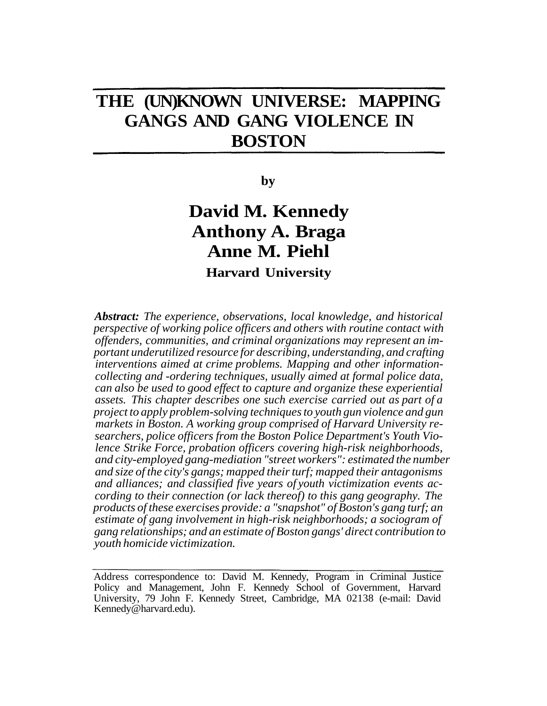# **THE (UN)KNOWN UNIVERSE: MAPPING GANGS AND GANG VIOLENCE IN BOSTON**

**by**

# **David M. Kennedy Anthony A. Braga Anne M. Piehl Harvard University**

*Abstract: The experience, observations, local knowledge, and historical perspective of working police officers and others with routine contact with offenders, communities, and criminal organizations may represent an important underutilized resource for describing, understanding, and crafting interventions aimed at crime problems. Mapping and other informationcollecting and -ordering techniques, usually aimed at formal police data, can also be used to good effect to capture and organize these experiential assets. This chapter describes one such exercise carried out as part of a project to apply problem-solving techniques to youth gun violence and gun markets in Boston. A working group comprised of Harvard University researchers, police officers from the Boston Police Department's Youth Violence Strike Force, probation officers covering high-risk neighborhoods, and city-employed gang-mediation "street workers": estimated the number and size of the city's gangs; mapped their turf; mapped their antagonisms and alliances; and classified five years of youth victimization events according to their connection (or lack thereof) to this gang geography. The products of these exercises provide: a "snapshot" of Boston's gang turf; an estimate of gang involvement in high-risk neighborhoods; a sociogram of gang relationships; and an estimate of Boston gangs' direct contribution to youth homicide victimization.*

Address correspondence to: David M. Kennedy, Program in Criminal Justice Policy and Management, John F. Kennedy School of Government, Harvard University, 79 John F. Kennedy Street, Cambridge, MA 02138 (e-mail: David Kennedy@harvard.edu).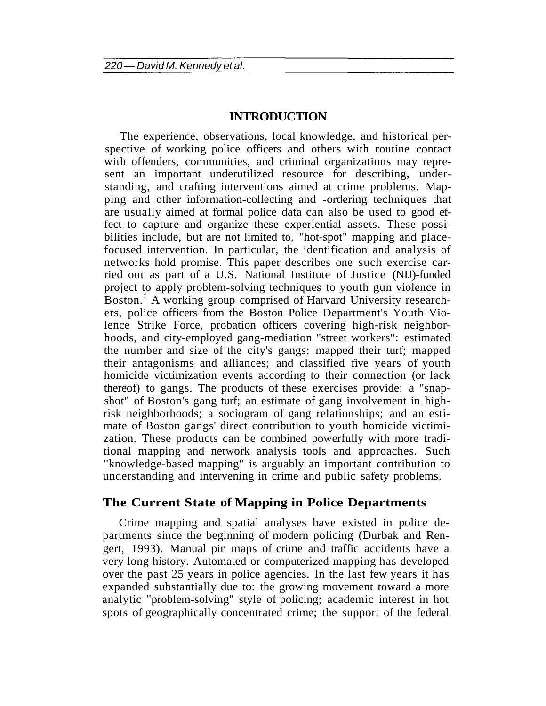#### **INTRODUCTION**

The experience, observations, local knowledge, and historical perspective of working police officers and others with routine contact with offenders, communities, and criminal organizations may represent an important underutilized resource for describing, understanding, and crafting interventions aimed at crime problems. Mapping and other information-collecting and -ordering techniques that are usually aimed at formal police data can also be used to good effect to capture and organize these experiential assets. These possibilities include, but are not limited to, "hot-spot" mapping and placefocused intervention. In particular, the identification and analysis of networks hold promise. This paper describes one such exercise carried out as part of a U.S. National Institute of Justice (NIJ)-funded project to apply problem-solving techniques to youth gun violence in Boston.<sup>1</sup> A working group comprised of Harvard University researchers, police officers from the Boston Police Department's Youth Violence Strike Force, probation officers covering high-risk neighborhoods, and city-employed gang-mediation "street workers": estimated the number and size of the city's gangs; mapped their turf; mapped their antagonisms and alliances; and classified five years of youth homicide victimization events according to their connection (or lack thereof) to gangs. The products of these exercises provide: a "snapshot" of Boston's gang turf; an estimate of gang involvement in highrisk neighborhoods; a sociogram of gang relationships; and an estimate of Boston gangs' direct contribution to youth homicide victimization. These products can be combined powerfully with more traditional mapping and network analysis tools and approaches. Such "knowledge-based mapping" is arguably an important contribution to understanding and intervening in crime and public safety problems.

#### **The Current State of Mapping in Police Departments**

Crime mapping and spatial analyses have existed in police departments since the beginning of modern policing (Durbak and Rengert, 1993). Manual pin maps of crime and traffic accidents have a very long history. Automated or computerized mapping has developed over the past 25 years in police agencies. In the last few years it has expanded substantially due to: the growing movement toward a more analytic "problem-solving" style of policing; academic interest in hot spots of geographically concentrated crime; the support of the federal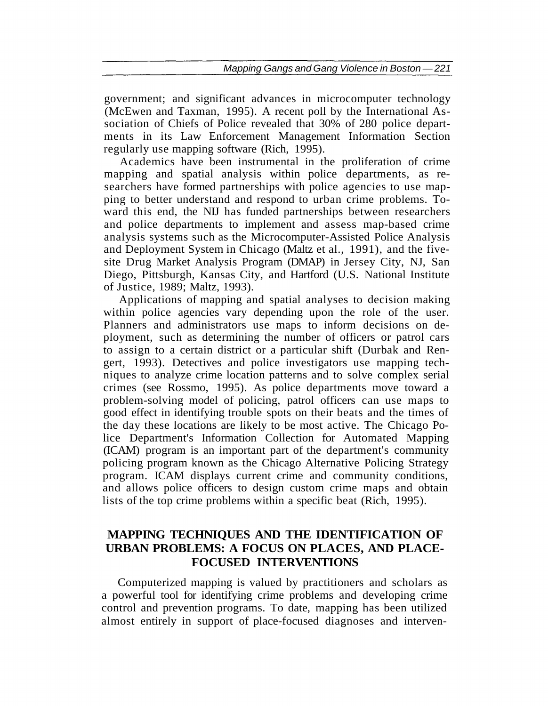government; and significant advances in microcomputer technology (McEwen and Taxman, 1995). A recent poll by the International Association of Chiefs of Police revealed that 30% of 280 police departments in its Law Enforcement Management Information Section regularly use mapping software (Rich, 1995).

Academics have been instrumental in the proliferation of crime mapping and spatial analysis within police departments, as researchers have formed partnerships with police agencies to use mapping to better understand and respond to urban crime problems. Toward this end, the NIJ has funded partnerships between researchers and police departments to implement and assess map-based crime analysis systems such as the Microcomputer-Assisted Police Analysis and Deployment System in Chicago (Maltz et al., 1991), and the fivesite Drug Market Analysis Program (DMAP) in Jersey City, NJ, San Diego, Pittsburgh, Kansas City, and Hartford (U.S. National Institute of Justice, 1989; Maltz, 1993).

Applications of mapping and spatial analyses to decision making within police agencies vary depending upon the role of the user. Planners and administrators use maps to inform decisions on deployment, such as determining the number of officers or patrol cars to assign to a certain district or a particular shift (Durbak and Rengert, 1993). Detectives and police investigators use mapping techniques to analyze crime location patterns and to solve complex serial crimes (see Rossmo, 1995). As police departments move toward a problem-solving model of policing, patrol officers can use maps to good effect in identifying trouble spots on their beats and the times of the day these locations are likely to be most active. The Chicago Police Department's Information Collection for Automated Mapping (ICAM) program is an important part of the department's community policing program known as the Chicago Alternative Policing Strategy program. ICAM displays current crime and community conditions, and allows police officers to design custom crime maps and obtain lists of the top crime problems within a specific beat (Rich, 1995).

## **MAPPING TECHNIQUES AND THE IDENTIFICATION OF URBAN PROBLEMS: A FOCUS ON PLACES, AND PLACE-FOCUSED INTERVENTIONS**

Computerized mapping is valued by practitioners and scholars as a powerful tool for identifying crime problems and developing crime control and prevention programs. To date, mapping has been utilized almost entirely in support of place-focused diagnoses and interven-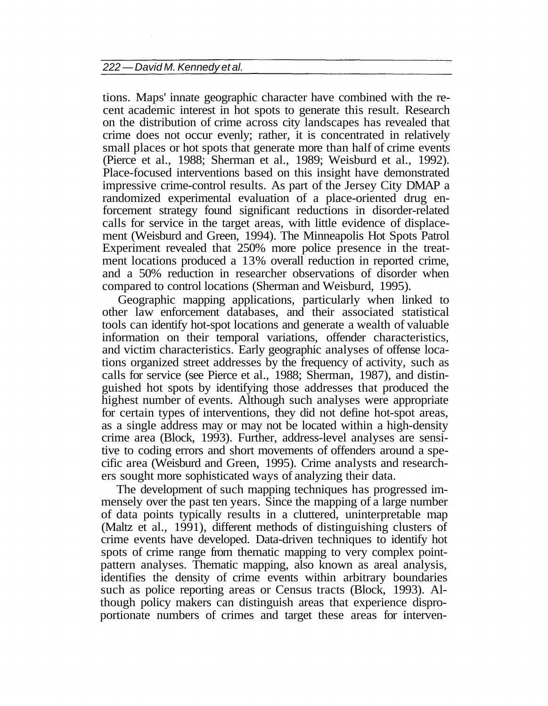#### 222 — David M. Kennedy et al.

tions. Maps' innate geographic character have combined with the recent academic interest in hot spots to generate this result. Research on the distribution of crime across city landscapes has revealed that crime does not occur evenly; rather, it is concentrated in relatively small places or hot spots that generate more than half of crime events (Pierce et al., 1988; Sherman et al., 1989; Weisburd et al., 1992). Place-focused interventions based on this insight have demonstrated impressive crime-control results. As part of the Jersey City DMAP a randomized experimental evaluation of a place-oriented drug enforcement strategy found significant reductions in disorder-related calls for service in the target areas, with little evidence of displacement (Weisburd and Green, 1994). The Minneapolis Hot Spots Patrol Experiment revealed that 250% more police presence in the treatment locations produced a 13% overall reduction in reported crime, and a 50% reduction in researcher observations of disorder when compared to control locations (Sherman and Weisburd, 1995).

Geographic mapping applications, particularly when linked to other law enforcement databases, and their associated statistical tools can identify hot-spot locations and generate a wealth of valuable information on their temporal variations, offender characteristics, and victim characteristics. Early geographic analyses of offense locations organized street addresses by the frequency of activity, such as calls for service (see Pierce et al., 1988; Sherman, 1987), and distinguished hot spots by identifying those addresses that produced the highest number of events. Although such analyses were appropriate for certain types of interventions, they did not define hot-spot areas, as a single address may or may not be located within a high-density crime area (Block, 1993). Further, address-level analyses are sensitive to coding errors and short movements of offenders around a specific area (Weisburd and Green, 1995). Crime analysts and researchers sought more sophisticated ways of analyzing their data.

The development of such mapping techniques has progressed immensely over the past ten years. Since the mapping of a large number of data points typically results in a cluttered, uninterpretable map (Maltz et al., 1991), different methods of distinguishing clusters of crime events have developed. Data-driven techniques to identify hot spots of crime range from thematic mapping to very complex pointpattern analyses. Thematic mapping, also known as areal analysis, identifies the density of crime events within arbitrary boundaries such as police reporting areas or Census tracts (Block, 1993). Although policy makers can distinguish areas that experience disproportionate numbers of crimes and target these areas for interven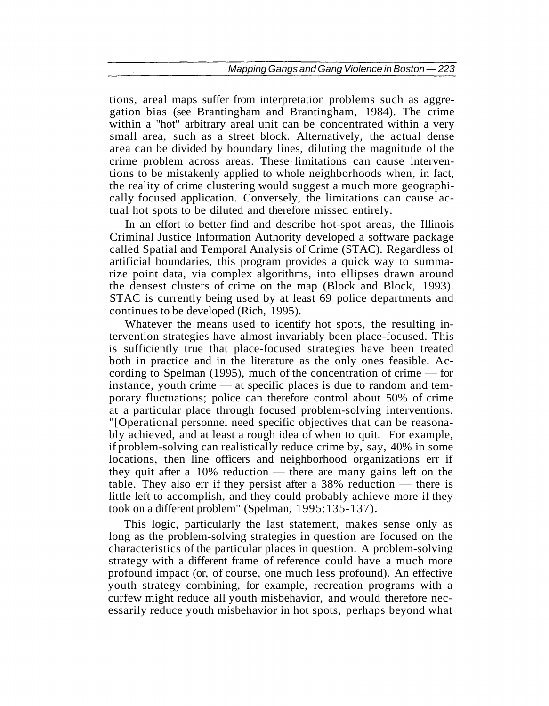tions, areal maps suffer from interpretation problems such as aggregation bias (see Brantingham and Brantingham, 1984). The crime within a "hot" arbitrary areal unit can be concentrated within a very small area, such as a street block. Alternatively, the actual dense area can be divided by boundary lines, diluting the magnitude of the crime problem across areas. These limitations can cause interventions to be mistakenly applied to whole neighborhoods when, in fact, the reality of crime clustering would suggest a much more geographically focused application. Conversely, the limitations can cause actual hot spots to be diluted and therefore missed entirely.

In an effort to better find and describe hot-spot areas, the Illinois Criminal Justice Information Authority developed a software package called Spatial and Temporal Analysis of Crime (STAC). Regardless of artificial boundaries, this program provides a quick way to summarize point data, via complex algorithms, into ellipses drawn around the densest clusters of crime on the map (Block and Block, 1993). STAC is currently being used by at least 69 police departments and continues to be developed (Rich, 1995).

Whatever the means used to identify hot spots, the resulting intervention strategies have almost invariably been place-focused. This is sufficiently true that place-focused strategies have been treated both in practice and in the literature as the only ones feasible. According to Spelman (1995), much of the concentration of crime — for instance, youth crime — at specific places is due to random and temporary fluctuations; police can therefore control about 50% of crime at a particular place through focused problem-solving interventions. "[Operational personnel need specific objectives that can be reasonably achieved, and at least a rough idea of when to quit. For example, if problem-solving can realistically reduce crime by, say, 40% in some locations, then line officers and neighborhood organizations err if they quit after a 10% reduction — there are many gains left on the table. They also err if they persist after a 38% reduction — there is little left to accomplish, and they could probably achieve more if they took on a different problem" (Spelman, 1995:135-137).

This logic, particularly the last statement, makes sense only as long as the problem-solving strategies in question are focused on the characteristics of the particular places in question. A problem-solving strategy with a different frame of reference could have a much more profound impact (or, of course, one much less profound). An effective youth strategy combining, for example, recreation programs with a curfew might reduce all youth misbehavior, and would therefore necessarily reduce youth misbehavior in hot spots, perhaps beyond what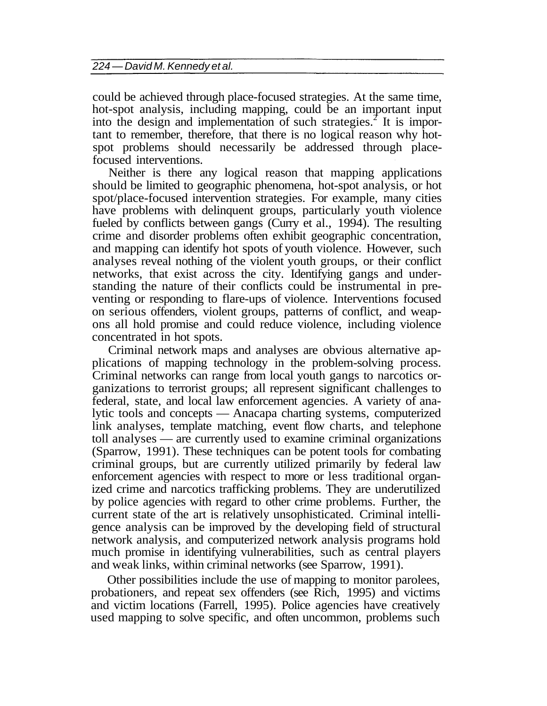could be achieved through place-focused strategies. At the same time, hot-spot analysis, including mapping, could be an important input into the design and implementation of such strategies.<sup>2</sup> It is important to remember, therefore, that there is no logical reason why hotspot problems should necessarily be addressed through placefocused interventions.

Neither is there any logical reason that mapping applications should be limited to geographic phenomena, hot-spot analysis, or hot spot/place-focused intervention strategies. For example, many cities have problems with delinquent groups, particularly youth violence fueled by conflicts between gangs (Curry et al., 1994). The resulting crime and disorder problems often exhibit geographic concentration, and mapping can identify hot spots of youth violence. However, such analyses reveal nothing of the violent youth groups, or their conflict networks, that exist across the city. Identifying gangs and understanding the nature of their conflicts could be instrumental in preventing or responding to flare-ups of violence. Interventions focused on serious offenders, violent groups, patterns of conflict, and weapons all hold promise and could reduce violence, including violence concentrated in hot spots.

Criminal network maps and analyses are obvious alternative applications of mapping technology in the problem-solving process. Criminal networks can range from local youth gangs to narcotics organizations to terrorist groups; all represent significant challenges to federal, state, and local law enforcement agencies. A variety of analytic tools and concepts — Anacapa charting systems, computerized link analyses, template matching, event flow charts, and telephone toll analyses — are currently used to examine criminal organizations (Sparrow, 1991). These techniques can be potent tools for combating criminal groups, but are currently utilized primarily by federal law enforcement agencies with respect to more or less traditional organized crime and narcotics trafficking problems. They are underutilized by police agencies with regard to other crime problems. Further, the current state of the art is relatively unsophisticated. Criminal intelligence analysis can be improved by the developing field of structural network analysis, and computerized network analysis programs hold much promise in identifying vulnerabilities, such as central players and weak links, within criminal networks (see Sparrow, 1991).

Other possibilities include the use of mapping to monitor parolees, probationers, and repeat sex offenders (see Rich, 1995) and victims and victim locations (Farrell, 1995). Police agencies have creatively used mapping to solve specific, and often uncommon, problems such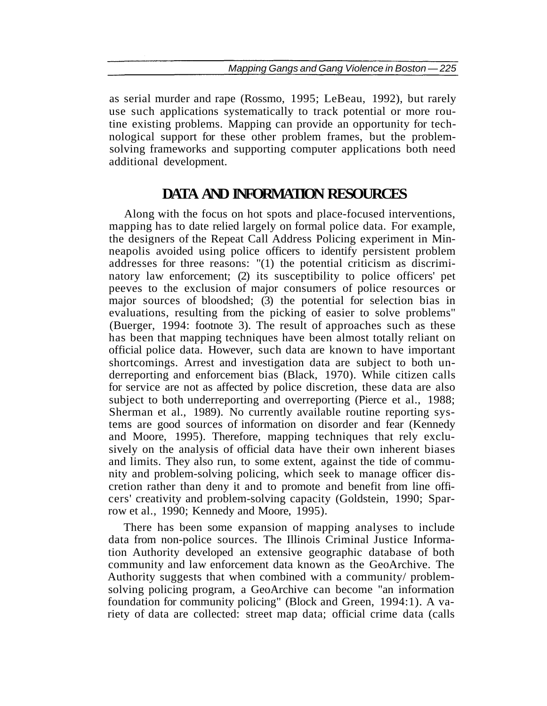as serial murder and rape (Rossmo, 1995; LeBeau, 1992), but rarely use such applications systematically to track potential or more routine existing problems. Mapping can provide an opportunity for technological support for these other problem frames, but the problemsolving frameworks and supporting computer applications both need additional development.

## **DATA AND INFORMATION RESOURCES**

Along with the focus on hot spots and place-focused interventions, mapping has to date relied largely on formal police data. For example, the designers of the Repeat Call Address Policing experiment in Minneapolis avoided using police officers to identify persistent problem addresses for three reasons: "(1) the potential criticism as discriminatory law enforcement; (2) its susceptibility to police officers' pet peeves to the exclusion of major consumers of police resources or major sources of bloodshed; (3) the potential for selection bias in evaluations, resulting from the picking of easier to solve problems" (Buerger, 1994: footnote 3). The result of approaches such as these has been that mapping techniques have been almost totally reliant on official police data. However, such data are known to have important shortcomings. Arrest and investigation data are subject to both underreporting and enforcement bias (Black, 1970). While citizen calls for service are not as affected by police discretion, these data are also subject to both underreporting and overreporting (Pierce et al., 1988; Sherman et al., 1989). No currently available routine reporting systems are good sources of information on disorder and fear (Kennedy and Moore, 1995). Therefore, mapping techniques that rely exclusively on the analysis of official data have their own inherent biases and limits. They also run, to some extent, against the tide of community and problem-solving policing, which seek to manage officer discretion rather than deny it and to promote and benefit from line officers' creativity and problem-solving capacity (Goldstein, 1990; Sparrow et al., 1990; Kennedy and Moore, 1995).

There has been some expansion of mapping analyses to include data from non-police sources. The Illinois Criminal Justice Information Authority developed an extensive geographic database of both community and law enforcement data known as the GeoArchive. The Authority suggests that when combined with a community/ problemsolving policing program, a GeoArchive can become "an information foundation for community policing" (Block and Green, 1994:1). A variety of data are collected: street map data; official crime data (calls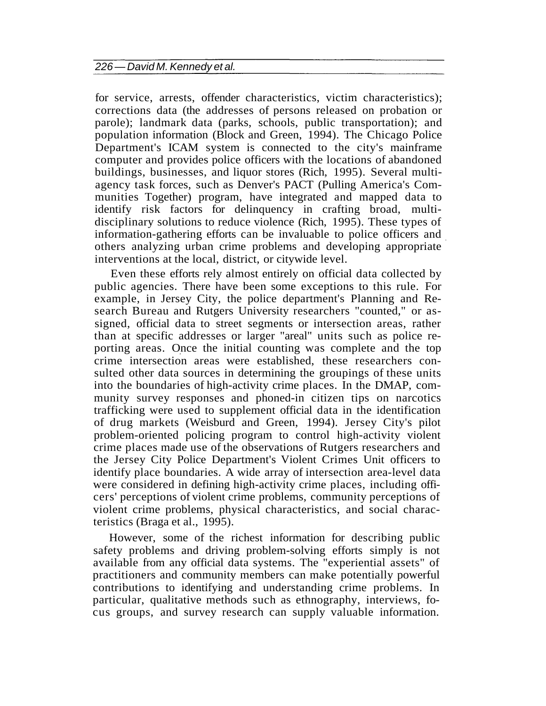for service, arrests, offender characteristics, victim characteristics); corrections data (the addresses of persons released on probation or parole); landmark data (parks, schools, public transportation); and population information (Block and Green, 1994). The Chicago Police Department's ICAM system is connected to the city's mainframe computer and provides police officers with the locations of abandoned buildings, businesses, and liquor stores (Rich, 1995). Several multiagency task forces, such as Denver's PACT (Pulling America's Communities Together) program, have integrated and mapped data to identify risk factors for delinquency in crafting broad, multidisciplinary solutions to reduce violence (Rich, 1995). These types of information-gathering efforts can be invaluable to police officers and others analyzing urban crime problems and developing appropriate interventions at the local, district, or citywide level.

Even these efforts rely almost entirely on official data collected by public agencies. There have been some exceptions to this rule. For example, in Jersey City, the police department's Planning and Research Bureau and Rutgers University researchers "counted," or assigned, official data to street segments or intersection areas, rather than at specific addresses or larger "areal" units such as police reporting areas. Once the initial counting was complete and the top crime intersection areas were established, these researchers consulted other data sources in determining the groupings of these units into the boundaries of high-activity crime places. In the DMAP, community survey responses and phoned-in citizen tips on narcotics trafficking were used to supplement official data in the identification of drug markets (Weisburd and Green, 1994). Jersey City's pilot problem-oriented policing program to control high-activity violent crime places made use of the observations of Rutgers researchers and the Jersey City Police Department's Violent Crimes Unit officers to identify place boundaries. A wide array of intersection area-level data were considered in defining high-activity crime places, including officers' perceptions of violent crime problems, community perceptions of violent crime problems, physical characteristics, and social characteristics (Braga et al., 1995).

However, some of the richest information for describing public safety problems and driving problem-solving efforts simply is not available from any official data systems. The "experiential assets" of practitioners and community members can make potentially powerful contributions to identifying and understanding crime problems. In particular, qualitative methods such as ethnography, interviews, focus groups, and survey research can supply valuable information.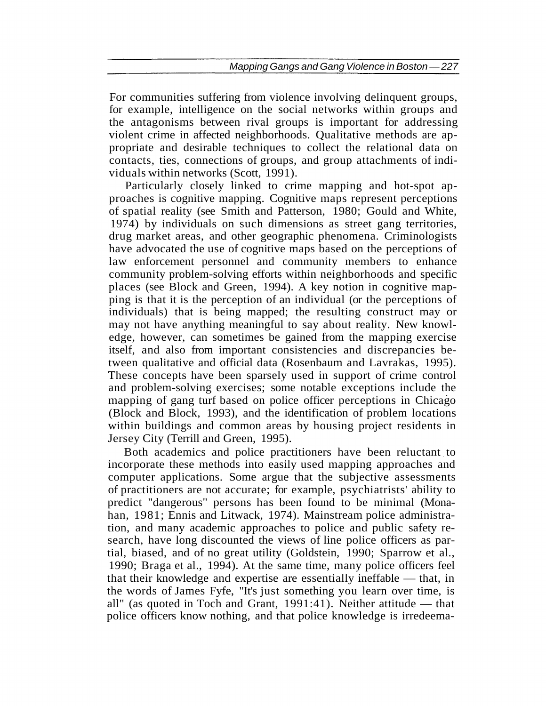For communities suffering from violence involving delinquent groups, for example, intelligence on the social networks within groups and the antagonisms between rival groups is important for addressing violent crime in affected neighborhoods. Qualitative methods are appropriate and desirable techniques to collect the relational data on contacts, ties, connections of groups, and group attachments of individuals within networks (Scott, 1991).

Particularly closely linked to crime mapping and hot-spot approaches is cognitive mapping. Cognitive maps represent perceptions of spatial reality (see Smith and Patterson, 1980; Gould and White, 1974) by individuals on such dimensions as street gang territories, drug market areas, and other geographic phenomena. Criminologists have advocated the use of cognitive maps based on the perceptions of law enforcement personnel and community members to enhance community problem-solving efforts within neighborhoods and specific places (see Block and Green, 1994). A key notion in cognitive mapping is that it is the perception of an individual (or the perceptions of individuals) that is being mapped; the resulting construct may or may not have anything meaningful to say about reality. New knowledge, however, can sometimes be gained from the mapping exercise itself, and also from important consistencies and discrepancies between qualitative and official data (Rosenbaum and Lavrakas, 1995). These concepts have been sparsely used in support of crime control and problem-solving exercises; some notable exceptions include the mapping of gang turf based on police officer perceptions in Chicago (Block and Block, 1993), and the identification of problem locations within buildings and common areas by housing project residents in Jersey City (Terrill and Green, 1995).

Both academics and police practitioners have been reluctant to incorporate these methods into easily used mapping approaches and computer applications. Some argue that the subjective assessments of practitioners are not accurate; for example, psychiatrists' ability to predict "dangerous" persons has been found to be minimal (Monahan, 1981; Ennis and Litwack, 1974). Mainstream police administration, and many academic approaches to police and public safety research, have long discounted the views of line police officers as partial, biased, and of no great utility (Goldstein, 1990; Sparrow et al., 1990; Braga et al., 1994). At the same time, many police officers feel that their knowledge and expertise are essentially ineffable — that, in the words of James Fyfe, "It's just something you learn over time, is all" (as quoted in Toch and Grant, 1991:41). Neither attitude — that police officers know nothing, and that police knowledge is irredeema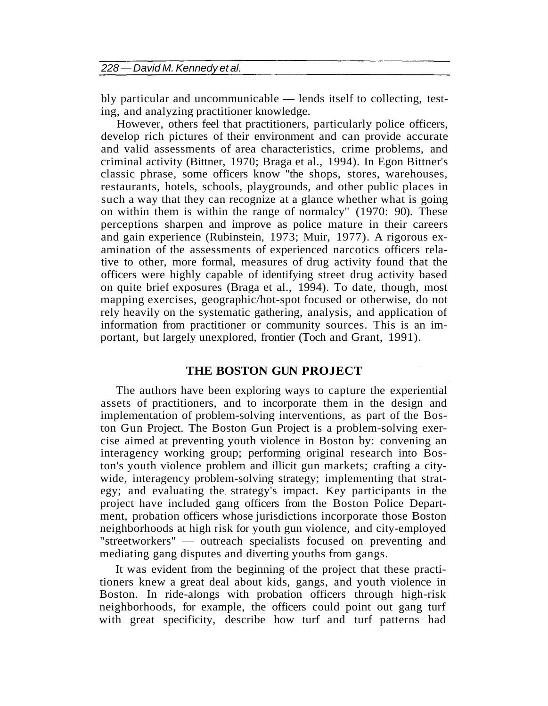228 — David M. Kennedy et al.

bly particular and uncommunicable — lends itself to collecting, testing, and analyzing practitioner knowledge.

However, others feel that practitioners, particularly police officers, develop rich pictures of their environment and can provide accurate and valid assessments of area characteristics, crime problems, and criminal activity (Bittner, 1970; Braga et al., 1994). In Egon Bittner's classic phrase, some officers know "the shops, stores, warehouses, restaurants, hotels, schools, playgrounds, and other public places in such a way that they can recognize at a glance whether what is going on within them is within the range of normalcy" (1970: 90). These perceptions sharpen and improve as police mature in their careers and gain experience (Rubinstein, 1973; Muir, 1977). A rigorous examination of the assessments of experienced narcotics officers relative to other, more formal, measures of drug activity found that the officers were highly capable of identifying street drug activity based on quite brief exposures (Braga et al., 1994). To date, though, most mapping exercises, geographic/hot-spot focused or otherwise, do not rely heavily on the systematic gathering, analysis, and application of information from practitioner or community sources. This is an important, but largely unexplored, frontier (Toch and Grant, 1991).

#### **THE BOSTON GUN PROJECT**

The authors have been exploring ways to capture the experiential assets of practitioners, and to incorporate them in the design and implementation of problem-solving interventions, as part of the Boston Gun Project. The Boston Gun Project is a problem-solving exercise aimed at preventing youth violence in Boston by: convening an interagency working group; performing original research into Boston's youth violence problem and illicit gun markets; crafting a citywide, interagency problem-solving strategy; implementing that strategy; and evaluating the strategy's impact. Key participants in the project have included gang officers from the Boston Police Department, probation officers whose jurisdictions incorporate those Boston neighborhoods at high risk for youth gun violence, and city-employed "streetworkers" — outreach specialists focused on preventing and mediating gang disputes and diverting youths from gangs.

It was evident from the beginning of the project that these practitioners knew a great deal about kids, gangs, and youth violence in Boston. In ride-alongs with probation officers through high-risk neighborhoods, for example, the officers could point out gang turf with great specificity, describe how turf and turf patterns had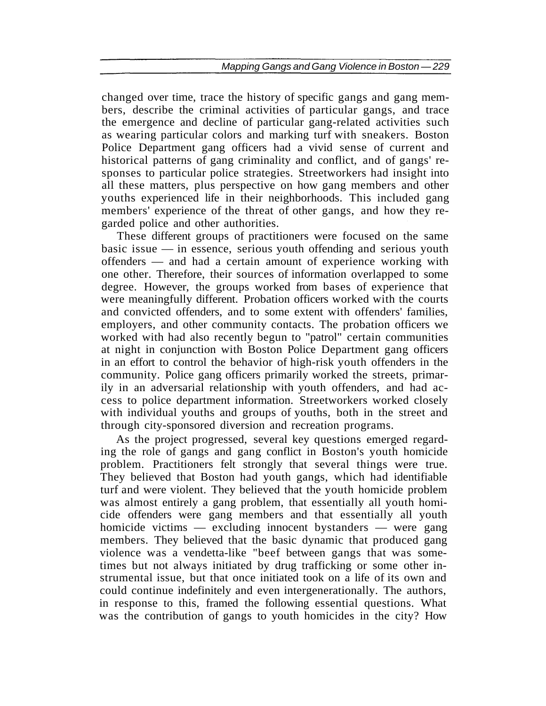changed over time, trace the history of specific gangs and gang members, describe the criminal activities of particular gangs, and trace the emergence and decline of particular gang-related activities such as wearing particular colors and marking turf with sneakers. Boston Police Department gang officers had a vivid sense of current and historical patterns of gang criminality and conflict, and of gangs' responses to particular police strategies. Streetworkers had insight into all these matters, plus perspective on how gang members and other youths experienced life in their neighborhoods. This included gang members' experience of the threat of other gangs, and how they regarded police and other authorities.

These different groups of practitioners were focused on the same basic issue — in essence, serious youth offending and serious youth offenders — and had a certain amount of experience working with one other. Therefore, their sources of information overlapped to some degree. However, the groups worked from bases of experience that were meaningfully different. Probation officers worked with the courts and convicted offenders, and to some extent with offenders' families, employers, and other community contacts. The probation officers we worked with had also recently begun to "patrol" certain communities at night in conjunction with Boston Police Department gang officers in an effort to control the behavior of high-risk youth offenders in the community. Police gang officers primarily worked the streets, primarily in an adversarial relationship with youth offenders, and had access to police department information. Streetworkers worked closely with individual youths and groups of youths, both in the street and through city-sponsored diversion and recreation programs.

As the project progressed, several key questions emerged regarding the role of gangs and gang conflict in Boston's youth homicide problem. Practitioners felt strongly that several things were true. They believed that Boston had youth gangs, which had identifiable turf and were violent. They believed that the youth homicide problem was almost entirely a gang problem, that essentially all youth homicide offenders were gang members and that essentially all youth homicide victims — excluding innocent bystanders — were gang members. They believed that the basic dynamic that produced gang violence was a vendetta-like "beef between gangs that was sometimes but not always initiated by drug trafficking or some other instrumental issue, but that once initiated took on a life of its own and could continue indefinitely and even intergenerationally. The authors, in response to this, framed the following essential questions. What was the contribution of gangs to youth homicides in the city? How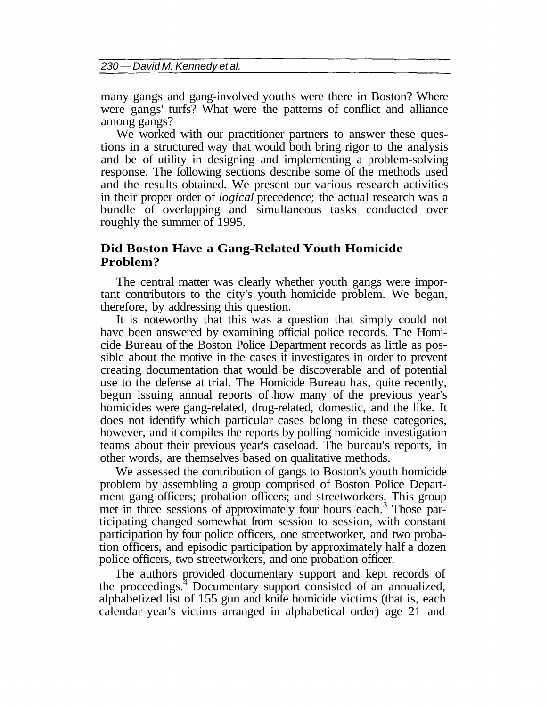many gangs and gang-involved youths were there in Boston? Where were gangs' turfs? What were the patterns of conflict and alliance among gangs?

We worked with our practitioner partners to answer these questions in a structured way that would both bring rigor to the analysis and be of utility in designing and implementing a problem-solving response. The following sections describe some of the methods used and the results obtained. We present our various research activities in their proper order of *logical* precedence; the actual research was a bundle of overlapping and simultaneous tasks conducted over roughly the summer of 1995.

## **Did Boston Have a Gang-Related Youth Homicide Problem?**

The central matter was clearly whether youth gangs were important contributors to the city's youth homicide problem. We began, therefore, by addressing this question.

It is noteworthy that this was a question that simply could not have been answered by examining official police records. The Homicide Bureau of the Boston Police Department records as little as possible about the motive in the cases it investigates in order to prevent creating documentation that would be discoverable and of potential use to the defense at trial. The Homicide Bureau has, quite recently, begun issuing annual reports of how many of the previous year's homicides were gang-related, drug-related, domestic, and the like. It does not identify which particular cases belong in these categories, however, and it compiles the reports by polling homicide investigation teams about their previous year's caseload. The bureau's reports, in other words, are themselves based on qualitative methods.

We assessed the contribution of gangs to Boston's youth homicide problem by assembling a group comprised of Boston Police Department gang officers; probation officers; and streetworkers. This group met in three sessions of approximately four hours each.<sup>3</sup> Those participating changed somewhat from session to session, with constant participation by four police officers, one streetworker, and two probation officers, and episodic participation by approximately half a dozen police officers, two streetworkers, and one probation officer.

The authors provided documentary support and kept records of the proceedings.<sup>4</sup> Documentary support consisted of an annualized, alphabetized list of 155 gun and knife homicide victims (that is, each calendar year's victims arranged in alphabetical order) age 21 and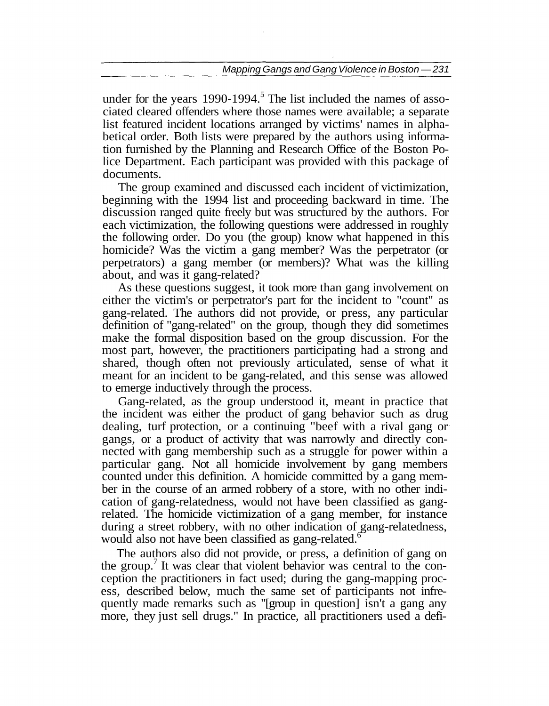under for the years  $1990-1994$ .<sup>5</sup> The list included the names of associated cleared offenders where those names were available; a separate list featured incident locations arranged by victims' names in alphabetical order. Both lists were prepared by the authors using information furnished by the Planning and Research Office of the Boston Police Department. Each participant was provided with this package of documents.

The group examined and discussed each incident of victimization, beginning with the 1994 list and proceeding backward in time. The discussion ranged quite freely but was structured by the authors. For each victimization, the following questions were addressed in roughly the following order. Do you (the group) know what happened in this homicide? Was the victim a gang member? Was the perpetrator (or perpetrators) a gang member (or members)? What was the killing about, and was it gang-related?

As these questions suggest, it took more than gang involvement on either the victim's or perpetrator's part for the incident to "count" as gang-related. The authors did not provide, or press, any particular definition of "gang-related" on the group, though they did sometimes make the formal disposition based on the group discussion. For the most part, however, the practitioners participating had a strong and shared, though often not previously articulated, sense of what it meant for an incident to be gang-related, and this sense was allowed to emerge inductively through the process.

Gang-related, as the group understood it, meant in practice that the incident was either the product of gang behavior such as drug dealing, turf protection, or a continuing "beef with a rival gang or gangs, or a product of activity that was narrowly and directly connected with gang membership such as a struggle for power within a particular gang. Not all homicide involvement by gang members counted under this definition. A homicide committed by a gang member in the course of an armed robbery of a store, with no other indication of gang-relatedness, would not have been classified as gangrelated. The homicide victimization of a gang member, for instance during a street robbery, with no other indication of gang-relatedness, would also not have been classified as gang-related.<sup>6</sup>

The authors also did not provide, or press, a definition of gang on the group.<sup>7</sup> It was clear that violent behavior was central to the conception the practitioners in fact used; during the gang-mapping process, described below, much the same set of participants not infrequently made remarks such as "[group in question] isn't a gang any more, they just sell drugs." In practice, all practitioners used a defi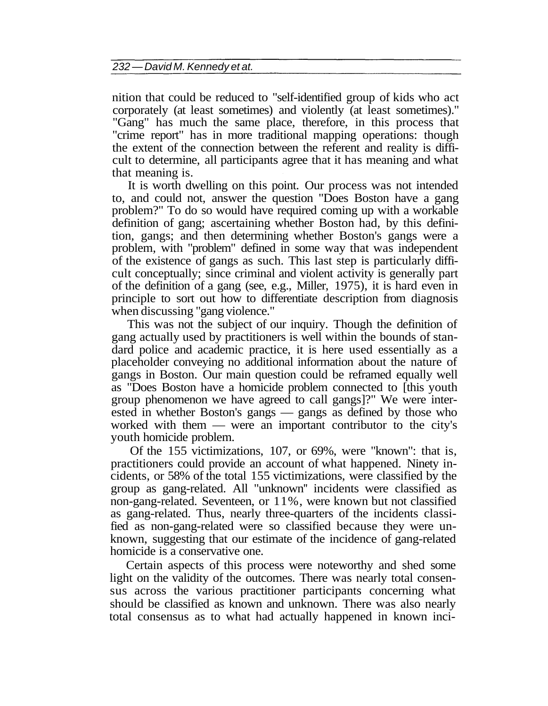nition that could be reduced to "self-identified group of kids who act corporately (at least sometimes) and violently (at least sometimes)." "Gang" has much the same place, therefore, in this process that "crime report" has in more traditional mapping operations: though the extent of the connection between the referent and reality is difficult to determine, all participants agree that it has meaning and what that meaning is.

It is worth dwelling on this point. Our process was not intended to, and could not, answer the question "Does Boston have a gang problem?" To do so would have required coming up with a workable definition of gang; ascertaining whether Boston had, by this definition, gangs; and then determining whether Boston's gangs were a problem, with "problem" defined in some way that was independent of the existence of gangs as such. This last step is particularly difficult conceptually; since criminal and violent activity is generally part of the definition of a gang (see, e.g., Miller, 1975), it is hard even in principle to sort out how to differentiate description from diagnosis when discussing "gang violence."

This was not the subject of our inquiry. Though the definition of gang actually used by practitioners is well within the bounds of standard police and academic practice, it is here used essentially as a placeholder conveying no additional information about the nature of gangs in Boston. Our main question could be reframed equally well as "Does Boston have a homicide problem connected to [this youth group phenomenon we have agreed to call gangs]?" We were interested in whether Boston's gangs — gangs as defined by those who worked with them — were an important contributor to the city's youth homicide problem.

Of the 155 victimizations, 107, or 69%, were "known": that is, practitioners could provide an account of what happened. Ninety incidents, or 58% of the total 155 victimizations, were classified by the group as gang-related. All "unknown'' incidents were classified as non-gang-related. Seventeen, or 11%, were known but not classified as gang-related. Thus, nearly three-quarters of the incidents classified as non-gang-related were so classified because they were unknown, suggesting that our estimate of the incidence of gang-related homicide is a conservative one.

Certain aspects of this process were noteworthy and shed some light on the validity of the outcomes. There was nearly total consensus across the various practitioner participants concerning what should be classified as known and unknown. There was also nearly total consensus as to what had actually happened in known inci-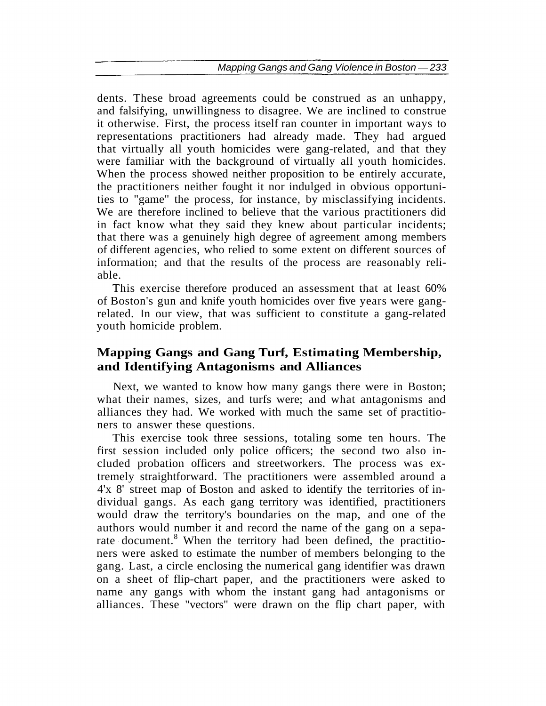dents. These broad agreements could be construed as an unhappy, and falsifying, unwillingness to disagree. We are inclined to construe it otherwise. First, the process itself ran counter in important ways to representations practitioners had already made. They had argued that virtually all youth homicides were gang-related, and that they were familiar with the background of virtually all youth homicides. When the process showed neither proposition to be entirely accurate, the practitioners neither fought it nor indulged in obvious opportunities to "game" the process, for instance, by misclassifying incidents. We are therefore inclined to believe that the various practitioners did in fact know what they said they knew about particular incidents; that there was a genuinely high degree of agreement among members of different agencies, who relied to some extent on different sources of information; and that the results of the process are reasonably reliable.

This exercise therefore produced an assessment that at least 60% of Boston's gun and knife youth homicides over five years were gangrelated. In our view, that was sufficient to constitute a gang-related youth homicide problem.

## **Mapping Gangs and Gang Turf, Estimating Membership, and Identifying Antagonisms and Alliances**

Next, we wanted to know how many gangs there were in Boston; what their names, sizes, and turfs were; and what antagonisms and alliances they had. We worked with much the same set of practitioners to answer these questions.

This exercise took three sessions, totaling some ten hours. The first session included only police officers; the second two also included probation officers and streetworkers. The process was extremely straightforward. The practitioners were assembled around a 4'x 8' street map of Boston and asked to identify the territories of individual gangs. As each gang territory was identified, practitioners would draw the territory's boundaries on the map, and one of the authors would number it and record the name of the gang on a separate document.<sup>8</sup> When the territory had been defined, the practitioners were asked to estimate the number of members belonging to the gang. Last, a circle enclosing the numerical gang identifier was drawn on a sheet of flip-chart paper, and the practitioners were asked to name any gangs with whom the instant gang had antagonisms or alliances. These "vectors" were drawn on the flip chart paper, with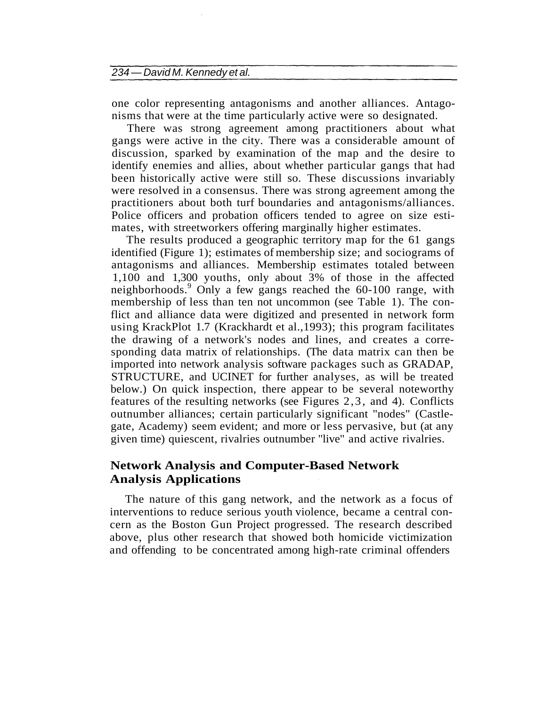one color representing antagonisms and another alliances. Antagonisms that were at the time particularly active were so designated.

There was strong agreement among practitioners about what gangs were active in the city. There was a considerable amount of discussion, sparked by examination of the map and the desire to identify enemies and allies, about whether particular gangs that had been historically active were still so. These discussions invariably were resolved in a consensus. There was strong agreement among the practitioners about both turf boundaries and antagonisms/alliances. Police officers and probation officers tended to agree on size estimates, with streetworkers offering marginally higher estimates.

The results produced a geographic territory map for the 61 gangs identified (Figure 1); estimates of membership size; and sociograms of antagonisms and alliances. Membership estimates totaled between 1,100 and 1,300 youths, only about 3% of those in the affected neighborhoods.<sup>9</sup> Only a few gangs reached the 60-100 range, with membership of less than ten not uncommon (see Table 1). The conflict and alliance data were digitized and presented in network form using KrackPlot 1.7 (Krackhardt et al.,1993); this program facilitates the drawing of a network's nodes and lines, and creates a corresponding data matrix of relationships. (The data matrix can then be imported into network analysis software packages such as GRADAP, STRUCTURE, and UCINET for further analyses, as will be treated below.) On quick inspection, there appear to be several noteworthy features of the resulting networks (see Figures 2,3, and 4). Conflicts outnumber alliances; certain particularly significant "nodes" (Castlegate, Academy) seem evident; and more or less pervasive, but (at any given time) quiescent, rivalries outnumber "live" and active rivalries.

## **Network Analysis and Computer-Based Network Analysis Applications**

The nature of this gang network, and the network as a focus of interventions to reduce serious youth violence, became a central concern as the Boston Gun Project progressed. The research described above, plus other research that showed both homicide victimization and offending to be concentrated among high-rate criminal offenders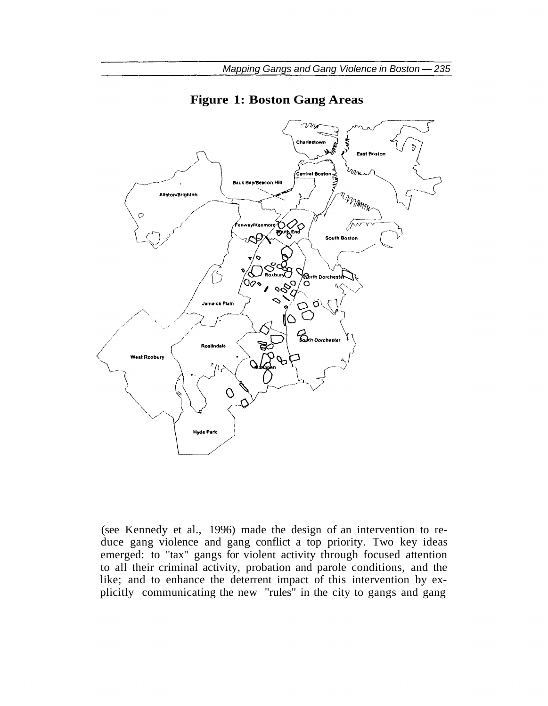

**Figure 1: Boston Gang Areas**

(see Kennedy et al., 1996) made the design of an intervention to reduce gang violence and gang conflict a top priority. Two key ideas emerged: to "tax" gangs for violent activity through focused attention to all their criminal activity, probation and parole conditions, and the like; and to enhance the deterrent impact of this intervention by explicitly communicating the new "rules" in the city to gangs and gang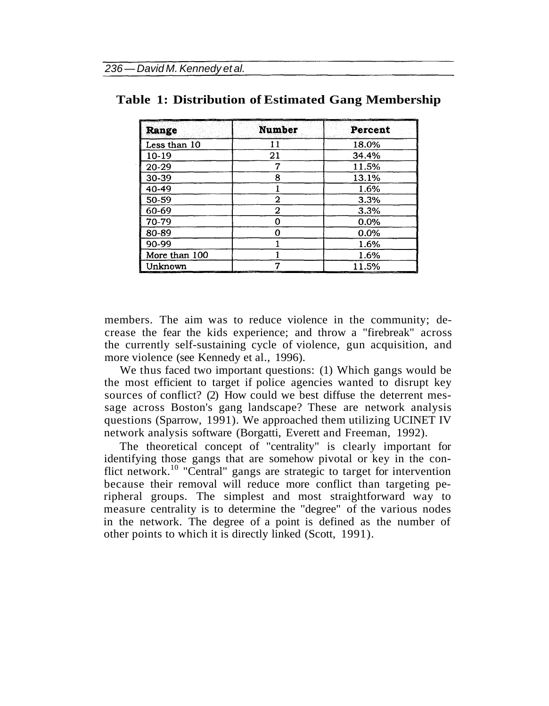| <b>Range</b>  | <b>Number</b> | Percent |
|---------------|---------------|---------|
| Less than 10  | 11            | 18.0%   |
| 10-19         | 21            | 34.4%   |
| 20-29         |               | 11.5%   |
| $30-39$       | 8             | 13.1%   |
| 40-49         |               | 1.6%    |
| 50-59         | 2             | 3.3%    |
| 60-69         | 2             | 3.3%    |
| 70-79         |               | 0.0%    |
| 80-89         |               | 0.0%    |
| 90-99         |               | 1.6%    |
| More than 100 |               | 1.6%    |
| Unknown       |               | 11.5%   |

#### **Table 1: Distribution of Estimated Gang Membership**

members. The aim was to reduce violence in the community; decrease the fear the kids experience; and throw a "firebreak" across the currently self-sustaining cycle of violence, gun acquisition, and more violence (see Kennedy et al., 1996).

We thus faced two important questions: (1) Which gangs would be the most efficient to target if police agencies wanted to disrupt key sources of conflict? (2) How could we best diffuse the deterrent message across Boston's gang landscape? These are network analysis questions (Sparrow, 1991). We approached them utilizing UCINET IV network analysis software (Borgatti, Everett and Freeman, 1992).

The theoretical concept of "centrality" is clearly important for identifying those gangs that are somehow pivotal or key in the conflict network.<sup>10</sup> "Central" gangs are strategic to target for intervention because their removal will reduce more conflict than targeting peripheral groups. The simplest and most straightforward way to measure centrality is to determine the "degree" of the various nodes in the network. The degree of a point is defined as the number of other points to which it is directly linked (Scott, 1991).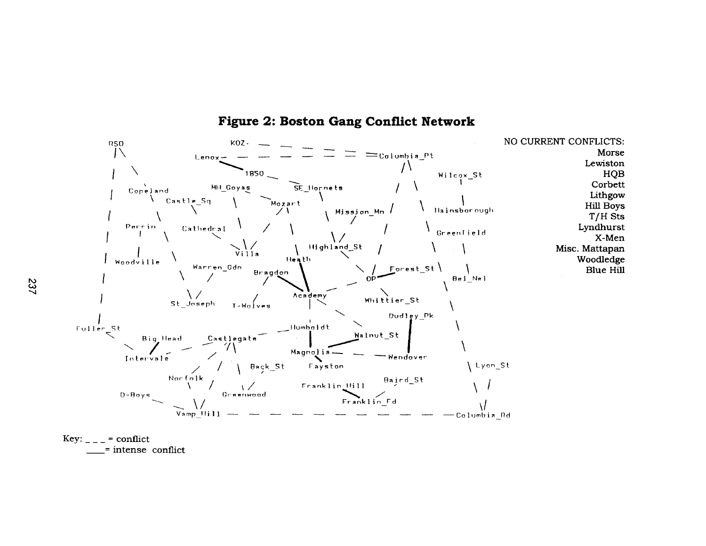

#### **Figure 2: Boston Gang Conflict Network**

Key:  $\angle$   $\angle$  =  $\angle$  = conflict

 $\frac{ }{ }$  = intense conflict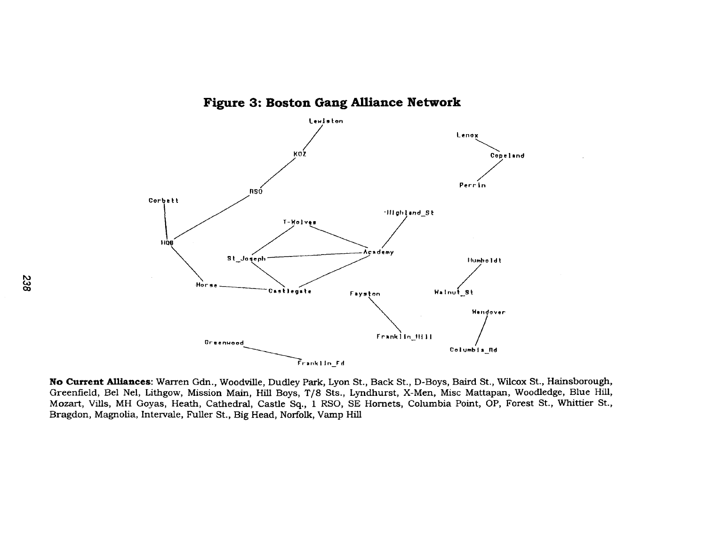

No Current Alliances: Warren Gdn., Woodville, Dudley Park, Lyon St., Back St., D-Boys, Baird St., Wilcox St., Hainsborough, Greenfield, Bel Nel, Lithgow, Mission Main, Hill Boys, T/8 Sts., Lyndhurst, X-Men, Misc Mattapan, Woodledge, Blue Hill, Mozart, Vills, MH Goyas, Heath, Cathedral, Castle Sq., 1 RSO, SE Hornets, Columbia Point, OP, Forest St., Whittier St., Bragdon, Magnolia, Intervale, Fuller St., Big Head, Norfolk, Vamp Hill

## **Figure 3: Boston Gang Alliance Network**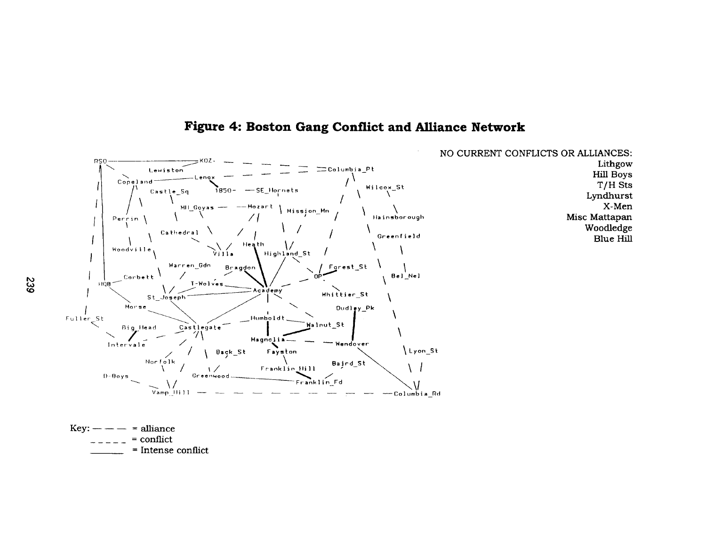

## Figure 4: Boston Gang Conflict and Alliance Network

 $=$  Intense conflict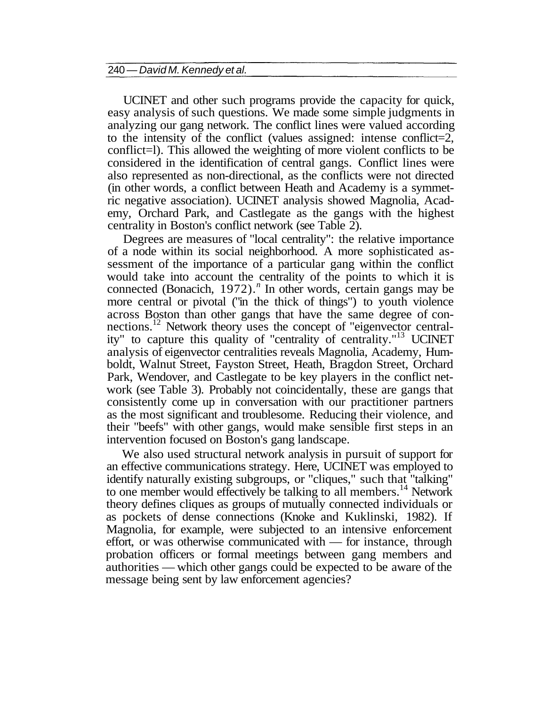UCINET and other such programs provide the capacity for quick, easy analysis of such questions. We made some simple judgments in analyzing our gang network. The conflict lines were valued according to the intensity of the conflict (values assigned: intense conflict=2, conflict=l). This allowed the weighting of more violent conflicts to be considered in the identification of central gangs. Conflict lines were also represented as non-directional, as the conflicts were not directed (in other words, a conflict between Heath and Academy is a symmetric negative association). UCINET analysis showed Magnolia, Academy, Orchard Park, and Castlegate as the gangs with the highest centrality in Boston's conflict network (see Table 2).

Degrees are measures of "local centrality": the relative importance of a node within its social neighborhood. A more sophisticated assessment of the importance of a particular gang within the conflict would take into account the centrality of the points to which it is connected (Bonacich, 1972).<sup>*n*</sup> In other words, certain gangs may be more central or pivotal ("in the thick of things") to youth violence across Boston than other gangs that have the same degree of connections.<sup>12</sup> Network theory uses the concept of "eigenvector centrality" to capture this quality of "centrality of centrality."<sup>13</sup> UCINET analysis of eigenvector centralities reveals Magnolia, Academy, Humboldt, Walnut Street, Fayston Street, Heath, Bragdon Street, Orchard Park, Wendover, and Castlegate to be key players in the conflict network (see Table 3). Probably not coincidentally, these are gangs that consistently come up in conversation with our practitioner partners as the most significant and troublesome. Reducing their violence, and their "beefs" with other gangs, would make sensible first steps in an intervention focused on Boston's gang landscape.

We also used structural network analysis in pursuit of support for an effective communications strategy. Here, UCINET was employed to identify naturally existing subgroups, or "cliques," such that "talking" to one member would effectively be talking to all members.<sup>14</sup> Network theory defines cliques as groups of mutually connected individuals or as pockets of dense connections (Knoke and Kuklinski, 1982). If Magnolia, for example, were subjected to an intensive enforcement effort, or was otherwise communicated with — for instance, through probation officers or formal meetings between gang members and authorities — which other gangs could be expected to be aware of the message being sent by law enforcement agencies?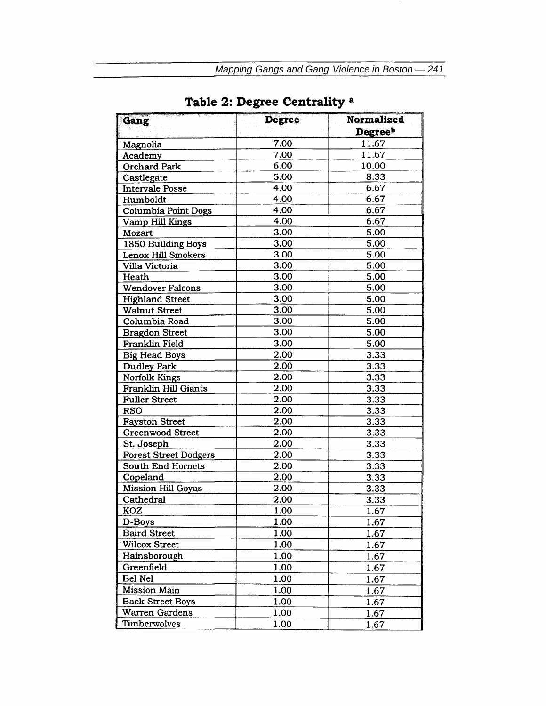л.

| Gang                         | <b>Degree</b>     | <b>Normalized</b> |
|------------------------------|-------------------|-------------------|
|                              |                   | <b>Degreeb</b>    |
| Magnolia                     | 7.00              | 11.67             |
| Academy                      | 7.00              | 11.67             |
| <b>Orchard Park</b>          | 6.00              | 10.00             |
| Castlegate                   | 5.00              | 8.33              |
| <b>Intervale Posse</b>       | 4.00              | 6.67              |
| Humboldt                     | 4.00              | 6.67              |
| <b>Columbia Point Dogs</b>   | 4.00              | 6.67              |
| Vamp Hill Kings              | 4.00              | 6.67              |
| Mozart                       | 3.00              | 5.00              |
| 1850 Building Boys           | 3.00              | 5.00              |
| Lenox Hill Smokers           | 3.00              | 5.00              |
| Villa Victoria               | 3.00              | 5.00              |
| Heath                        | 3.00              | 5.00              |
| <b>Wendover Falcons</b>      | 3.00              | 5.00              |
| <b>Highland Street</b>       | 3.00              | 5.00              |
| <b>Walnut Street</b>         | 3.00              | 5.00              |
| Columbia Road                | 3.00              | 5.00              |
| <b>Bragdon Street</b>        | 3.00              | 5.00              |
| Franklin Field               | 3.00              | 5.00              |
| <b>Big Head Boys</b>         | 2.00              | 3.33              |
| <b>Dudley Park</b>           | 2.00              | 3.33              |
| Norfolk Kings                | 2.00              | 3.33              |
| Franklin Hill Giants         | 2.00              | 3.33              |
| <b>Fuller Street</b>         | 2.00              | 3.33              |
| <b>RSO</b>                   | 2.00              | 3.33              |
| <b>Fayston Street</b>        | 2.00              | 3.33              |
| <b>Greenwood Street</b>      | 2.00              | 3.33              |
| St. Joseph                   | 2.00              | 3.33              |
| <b>Forest Street Dodgers</b> | 2.00              | 3.33              |
| South End Hornets            | 2.00              | 3.33              |
| Copeland                     | 2.00              | 3.33              |
| <b>Mission Hill Goyas</b>    | 2.00              | 3.33              |
| Cathedral                    | 2.00              | 3.33              |
| <b>KOZ</b>                   | $1.\overline{00}$ | 1.67              |
| D-Boys                       | 1.00              | 1.67              |
| <b>Baird Street</b>          | 1.00              | 1.67              |
| Wilcox Street                | 1.00              | 1.67              |
| Hainsborough                 | 1.00              | 1.67              |
| Greenfield                   | 1.00              | 1.67              |
| Bel Nel                      | 1.00              | 1.67              |
| Mission Main                 | 1.00              | 1.67              |
| <b>Back Street Boys</b>      | 1.00              | 1.67              |
| Warren Gardens               | 1.00              | 1.67              |
| Timberwolves                 | 1.00              | 1.67              |
|                              |                   |                   |

Table 2: Degree Centrality<sup>a</sup>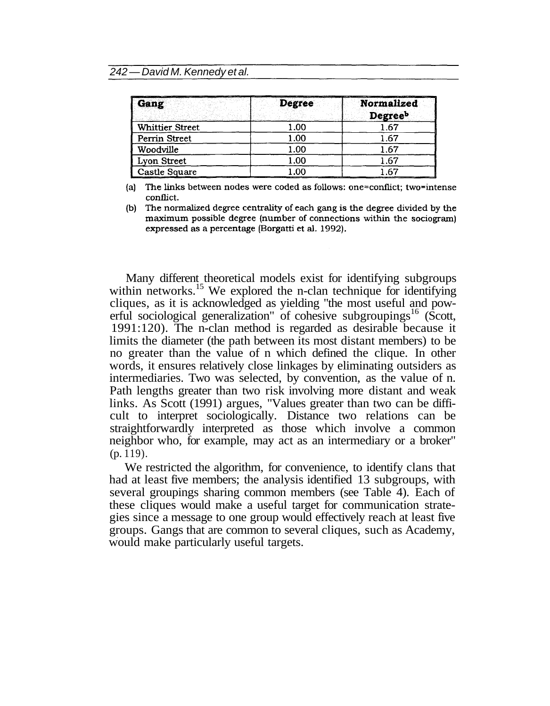| Gang                   | <b>Degree</b> | <b>Normalized</b><br><b>Degree</b> |
|------------------------|---------------|------------------------------------|
| <b>Whittier Street</b> | 1.00          | 1.67                               |
| Perrin Street          | 1.00          | 1.67                               |
| Woodville              | 1.00          | 1.67                               |
| Lyon Street            | 1.00          | 1.67                               |
| Castle Square          | L.OO          | $-67$                              |

(a) The links between nodes were coded as follows: one=conflict; two=intense conflict.

(b) The normalized degree centrality of each gang is the degree divided by the maximum possible degree (number of connections within the sociogram) expressed as a percentage (Borgatti et al. 1992).

Many different theoretical models exist for identifying subgroups within networks.<sup>15</sup> We explored the n-clan technique for identifying cliques, as it is acknowledged as yielding "the most useful and powerful sociological generalization" of cohesive subgroupings<sup>16</sup> (Scott, 1991:120). The n-clan method is regarded as desirable because it limits the diameter (the path between its most distant members) to be no greater than the value of n which defined the clique. In other words, it ensures relatively close linkages by eliminating outsiders as intermediaries. Two was selected, by convention, as the value of n. Path lengths greater than two risk involving more distant and weak links. As Scott (1991) argues, "Values greater than two can be difficult to interpret sociologically. Distance two relations can be straightforwardly interpreted as those which involve a common neighbor who, for example, may act as an intermediary or a broker" (p. 119).

We restricted the algorithm, for convenience, to identify clans that had at least five members; the analysis identified 13 subgroups, with several groupings sharing common members (see Table 4). Each of these cliques would make a useful target for communication strategies since a message to one group would effectively reach at least five groups. Gangs that are common to several cliques, such as Academy, would make particularly useful targets.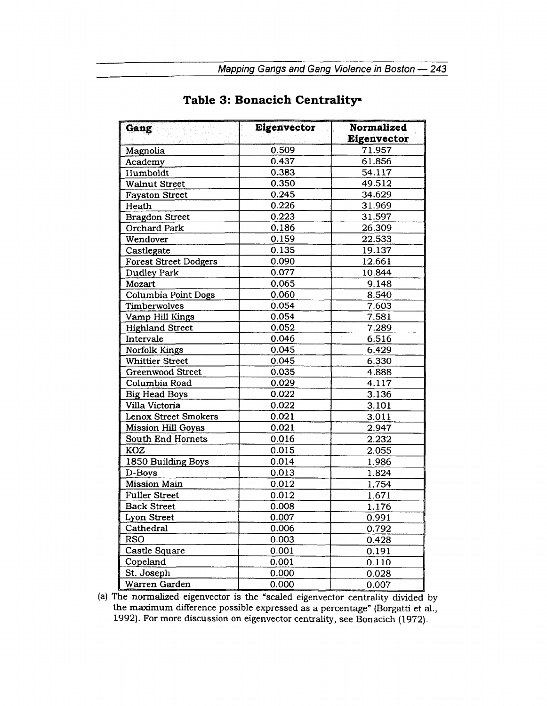| Gang                         | Eigenvector | <b>Normalized</b><br>Eigenvector |
|------------------------------|-------------|----------------------------------|
| Magnolia                     | 0.509       | 71.957                           |
| Academy                      | 0.437       | 61.856                           |
| Humboldt                     | 0.383       | 54.117                           |
| <b>Walnut Street</b>         | 0.350       | 49.512                           |
| <b>Fayston Street</b>        | 0.245       | 34.629                           |
| Heath                        | 0.226       | 31.969                           |
| <b>Bragdon Street</b>        | 0.223       | 31.597                           |
| <b>Orchard Park</b>          | 0.186       | 26.309                           |
| Wendover                     | 0.159       | 22.533                           |
| Castlegate                   | 0.135       | 19.137                           |
| <b>Forest Street Dodgers</b> | 0.090       | 12.661                           |
| Dudley Park                  | 0.077       | 10.844                           |
| Mozart                       | 0.065       | 9.148                            |
| <b>Columbia Point Dogs</b>   | 0.060       | 8.540                            |
| Timberwolves                 | 0.054       | 7.603                            |
| Vamp Hill Kings              | 0.054       | 7.581                            |
| <b>Highland Street</b>       | 0.052       | 7.289                            |
| Intervale                    | 0.046       | 6.516                            |
| Norfolk Kings                | 0.045       | 6.429                            |
| <b>Whittier Street</b>       | 0.045       | 6.330                            |
| Greenwood Street             | 0.035       | 4.888                            |
| Columbia Road                | 0.029       | 4.117                            |
| <b>Big Head Boys</b>         | 0.022       | 3.136                            |
| Villa Victoria               | 0.022       | 3.101                            |
| <b>Lenox Street Smokers</b>  | 0.021       | 3.011                            |
| <b>Mission Hill Goyas</b>    | 0.021       | 2.947                            |
| South End Hornets            | 0.016       | 2.232                            |
| KOZ                          | 0.015       | 2.055                            |
| 1850 Building Boys           | 0.014       | 1.986                            |
| D-Boys                       | 0.013       | 1.824                            |
| <b>Mission Main</b>          | 0.012       | 1.754                            |
| <b>Fuller Street</b>         | 0.012       | 1.671                            |
| <b>Back Street</b>           | 0.008       | 1.176                            |
| Lyon Street                  | 0.007       | 0.991                            |
| Cathedral                    | 0.006       | 0.792                            |
| <b>RSO</b>                   | 0.003       | 0.428                            |
| Castle Square                | 0.001       | 0.191                            |
| Copeland                     | 0.001       | 0.110                            |
| St. Joseph                   | 0.000       | 0.028                            |
| Warren Garden                | 0.000       | 0.007                            |

## Table 3: Bonacich Centrality<sup>®</sup>

(a) The normalized eigenvector is the "scaled eigenvector centrality divided by the maximum difference possible expressed as a percentage" (Borgatti et al., 1992). For more discussion on eigenvector centrality, see Bonacich (1972).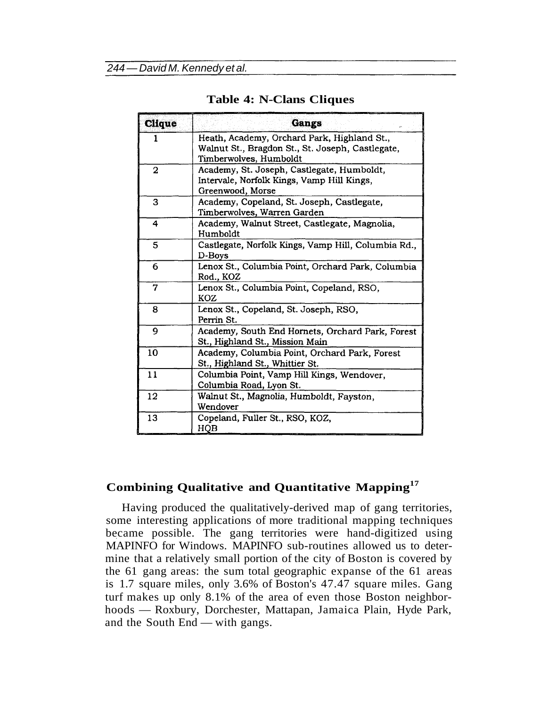| <b>Clique</b>  | Gangs                                                                                                                     |
|----------------|---------------------------------------------------------------------------------------------------------------------------|
| 1              | Heath, Academy, Orchard Park, Highland St.,<br>Walnut St., Bragdon St., St. Joseph, Castlegate,<br>Timberwolves, Humboldt |
| $\overline{2}$ | Academy, St. Joseph, Castlegate, Humboldt,<br>Intervale, Norfolk Kings, Vamp Hill Kings,<br>Greenwood, Morse              |
| 3              | Academy, Copeland, St. Joseph, Castlegate,<br>Timberwolves, Warren Garden                                                 |
| 4              | Academy, Walnut Street, Castlegate, Magnolia,<br>Humboldt                                                                 |
| 5              | Castlegate, Norfolk Kings, Vamp Hill, Columbia Rd.,<br>D-Boys                                                             |
| 6              | Lenox St., Columbia Point, Orchard Park, Columbia<br>Rod., KOZ                                                            |
| 7              | Lenox St., Columbia Point, Copeland, RSO,<br>KOZ                                                                          |
| 8              | Lenox St., Copeland, St. Joseph, RSO,<br>Perrin St.                                                                       |
| 9              | Academy, South End Hornets, Orchard Park, Forest<br>St., Highland St., Mission Main                                       |
| 10             | Academy, Columbia Point, Orchard Park, Forest<br>St., Highland St., Whittier St.                                          |
| 11             | Columbia Point, Vamp Hill Kings, Wendover,<br>Columbia Road, Lyon St.                                                     |
| 12             | Walnut St., Magnolia, Humboldt, Fayston,<br>Wendover                                                                      |
| 13             | Copeland, Fuller St., RSO, KOZ,<br>HQB                                                                                    |

**Table 4: N-Clans Cliques**

## **Combining Qualitative and Quantitative Mapping<sup>17</sup>**

Having produced the qualitatively-derived map of gang territories, some interesting applications of more traditional mapping techniques became possible. The gang territories were hand-digitized using MAPINFO for Windows. MAPINFO sub-routines allowed us to determine that a relatively small portion of the city of Boston is covered by the 61 gang areas: the sum total geographic expanse of the 61 areas is 1.7 square miles, only 3.6% of Boston's 47.47 square miles. Gang turf makes up only 8.1% of the area of even those Boston neighborhoods — Roxbury, Dorchester, Mattapan, Jamaica Plain, Hyde Park, and the South End — with gangs.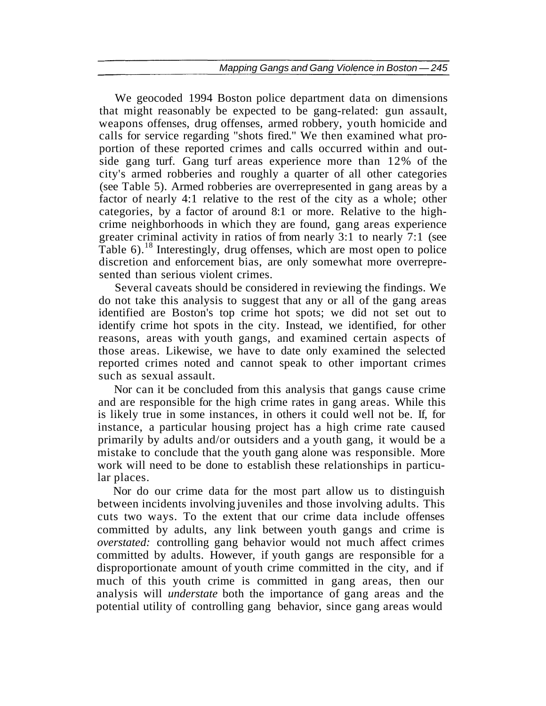We geocoded 1994 Boston police department data on dimensions that might reasonably be expected to be gang-related: gun assault, weapons offenses, drug offenses, armed robbery, youth homicide and calls for service regarding "shots fired." We then examined what proportion of these reported crimes and calls occurred within and outside gang turf. Gang turf areas experience more than 12% of the city's armed robberies and roughly a quarter of all other categories (see Table 5). Armed robberies are overrepresented in gang areas by a factor of nearly 4:1 relative to the rest of the city as a whole; other categories, by a factor of around 8:1 or more. Relative to the highcrime neighborhoods in which they are found, gang areas experience greater criminal activity in ratios of from nearly 3:1 to nearly 7:1 (see Table 6).<sup>18</sup> Interestingly, drug offenses, which are most open to police discretion and enforcement bias, are only somewhat more overrepresented than serious violent crimes.

Several caveats should be considered in reviewing the findings. We do not take this analysis to suggest that any or all of the gang areas identified are Boston's top crime hot spots; we did not set out to identify crime hot spots in the city. Instead, we identified, for other reasons, areas with youth gangs, and examined certain aspects of those areas. Likewise, we have to date only examined the selected reported crimes noted and cannot speak to other important crimes such as sexual assault.

Nor can it be concluded from this analysis that gangs cause crime and are responsible for the high crime rates in gang areas. While this is likely true in some instances, in others it could well not be. If, for instance, a particular housing project has a high crime rate caused primarily by adults and/or outsiders and a youth gang, it would be a mistake to conclude that the youth gang alone was responsible. More work will need to be done to establish these relationships in particular places.

Nor do our crime data for the most part allow us to distinguish between incidents involving juveniles and those involving adults. This cuts two ways. To the extent that our crime data include offenses committed by adults, any link between youth gangs and crime is *overstated:* controlling gang behavior would not much affect crimes committed by adults. However, if youth gangs are responsible for a disproportionate amount of youth crime committed in the city, and if much of this youth crime is committed in gang areas, then our analysis will *understate* both the importance of gang areas and the potential utility of controlling gang behavior, since gang areas would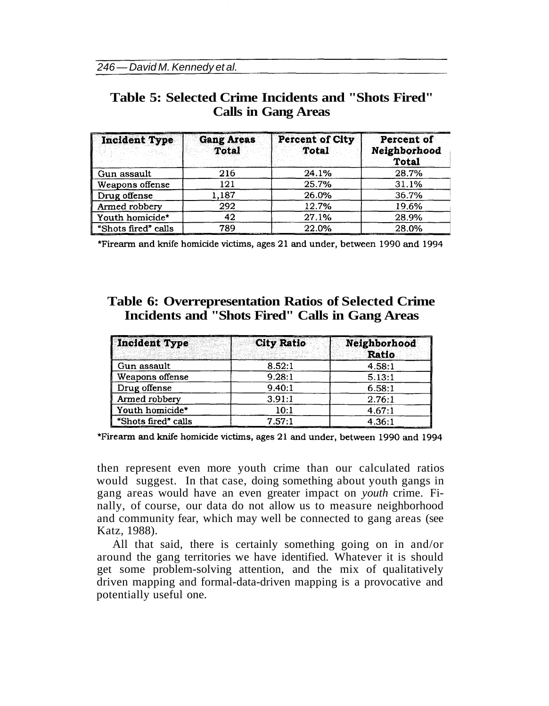## **Table 5: Selected Crime Incidents and "Shots Fired" Calls in Gang Areas**

| <b>Incident Type</b> | <b>Gang Areas</b><br><b>Total</b> | Percent of City<br><b>Total</b> | Percent of<br>Neighborhood<br><b>Total</b> |
|----------------------|-----------------------------------|---------------------------------|--------------------------------------------|
| Gun assault          | 216                               | 24.1%                           | 28.7%                                      |
| Weapons offense      | 121                               | 25.7%                           | 31.1%                                      |
| Drug offense         | 1,187                             | 26.0%                           | 36.7%                                      |
| Armed robbery        | 292                               | 12.7%                           | 19.6%                                      |
| Youth homicide*      | 42                                | 27.1%                           | 28.9%                                      |
| "Shots fired" calls  | 789                               | 22.0%                           | 28.0%                                      |

\*Firearm and knife homicide victims, ages 21 and under, between 1990 and 1994

## **Table 6: Overrepresentation Ratios of Selected Crime Incidents and "Shots Fired" Calls in Gang Areas**

| Incident Type       | <b>City Ratio</b> | Neighborhood<br><b>Ratio</b> |
|---------------------|-------------------|------------------------------|
| Gun assault         | 8.52:1            | 4.58:1                       |
| Weapons offense     | 9.28:1            | 5.13:1                       |
| Drug offense        | 9.40:1            | 6.58:1                       |
| Armed robbery       | 3.91:1            | 2.76:1                       |
| Youth homicide*     | 10:1              | 4.67:1                       |
| "Shots fired" calls | 7.57:1            | 4.36:1                       |

\*Firearm and knife homicide victims, ages 21 and under, between 1990 and 1994

then represent even more youth crime than our calculated ratios would suggest. In that case, doing something about youth gangs in gang areas would have an even greater impact on *youth* crime. Finally, of course, our data do not allow us to measure neighborhood and community fear, which may well be connected to gang areas (see Katz, 1988).

All that said, there is certainly something going on in and/or around the gang territories we have identified. Whatever it is should get some problem-solving attention, and the mix of qualitatively driven mapping and formal-data-driven mapping is a provocative and potentially useful one.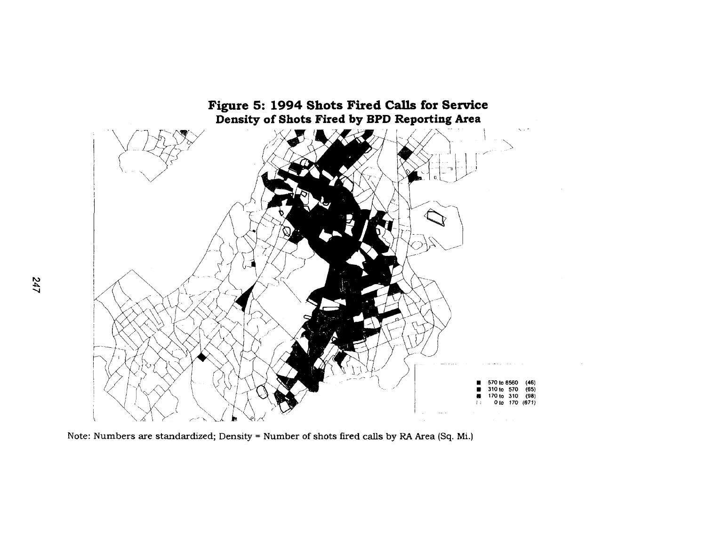

Note: Numbers are standardized; Density = Number of shots fired calls by RA Area (Sq. Mi.)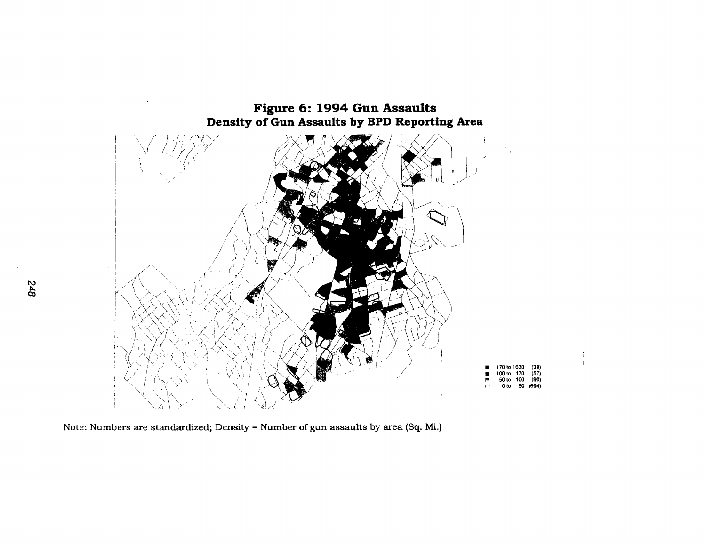

Note: Numbers are standardized; Density = Number of gun assaults by area (Sq. Mi.)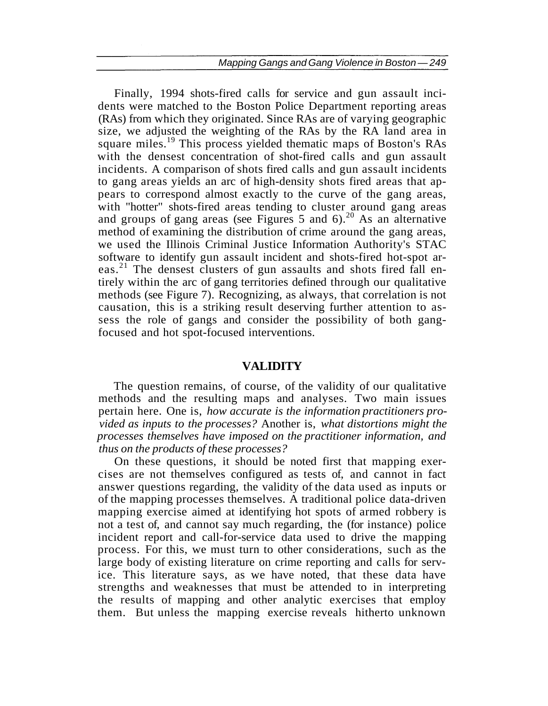Mapping Gangs and Gang Violence in Boston — 249

Finally, 1994 shots-fired calls for service and gun assault incidents were matched to the Boston Police Department reporting areas (RAs) from which they originated. Since RAs are of varying geographic size, we adjusted the weighting of the RAs by the RA land area in square miles.<sup>19</sup> This process yielded thematic maps of Boston's RAs with the densest concentration of shot-fired calls and gun assault incidents. A comparison of shots fired calls and gun assault incidents to gang areas yields an arc of high-density shots fired areas that appears to correspond almost exactly to the curve of the gang areas, with "hotter" shots-fired areas tending to cluster around gang areas and groups of gang areas (see Figures 5 and 6).<sup>20</sup> As an alternative method of examining the distribution of crime around the gang areas, we used the Illinois Criminal Justice Information Authority's STAC software to identify gun assault incident and shots-fired hot-spot areas.<sup>21</sup> The densest clusters of gun assaults and shots fired fall entirely within the arc of gang territories defined through our qualitative methods (see Figure 7). Recognizing, as always, that correlation is not causation, this is a striking result deserving further attention to assess the role of gangs and consider the possibility of both gangfocused and hot spot-focused interventions.

#### **VALIDITY**

The question remains, of course, of the validity of our qualitative methods and the resulting maps and analyses. Two main issues pertain here. One is, *how accurate is the information practitioners provided as inputs to the processes?* Another is, *what distortions might the processes themselves have imposed on the practitioner information, and thus on the products of these processes?*

On these questions, it should be noted first that mapping exercises are not themselves configured as tests of, and cannot in fact answer questions regarding, the validity of the data used as inputs or of the mapping processes themselves. A traditional police data-driven mapping exercise aimed at identifying hot spots of armed robbery is not a test of, and cannot say much regarding, the (for instance) police incident report and call-for-service data used to drive the mapping process. For this, we must turn to other considerations, such as the large body of existing literature on crime reporting and calls for service. This literature says, as we have noted, that these data have strengths and weaknesses that must be attended to in interpreting the results of mapping and other analytic exercises that employ them. But unless the mapping exercise reveals hitherto unknown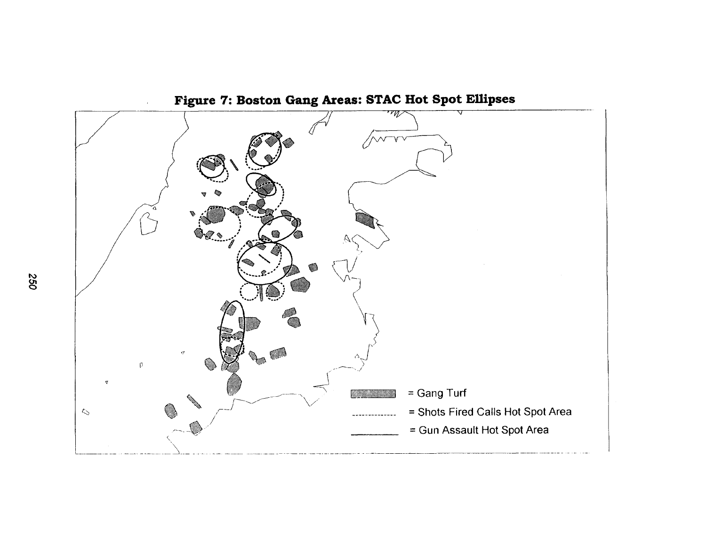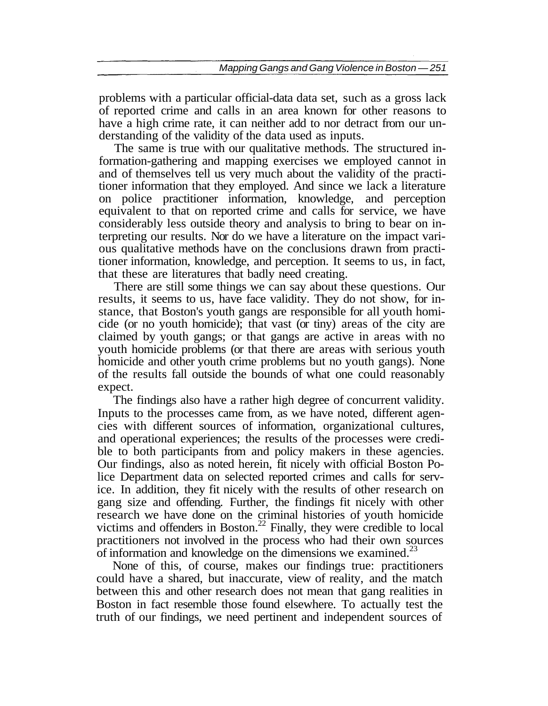problems with a particular official-data data set, such as a gross lack of reported crime and calls in an area known for other reasons to have a high crime rate, it can neither add to nor detract from our understanding of the validity of the data used as inputs.

The same is true with our qualitative methods. The structured information-gathering and mapping exercises we employed cannot in and of themselves tell us very much about the validity of the practitioner information that they employed. And since we lack a literature on police practitioner information, knowledge, and perception equivalent to that on reported crime and calls for service, we have considerably less outside theory and analysis to bring to bear on interpreting our results. Nor do we have a literature on the impact various qualitative methods have on the conclusions drawn from practitioner information, knowledge, and perception. It seems to us, in fact, that these are literatures that badly need creating.

There are still some things we can say about these questions. Our results, it seems to us, have face validity. They do not show, for instance, that Boston's youth gangs are responsible for all youth homicide (or no youth homicide); that vast (or tiny) areas of the city are claimed by youth gangs; or that gangs are active in areas with no youth homicide problems (or that there are areas with serious youth homicide and other youth crime problems but no youth gangs). None of the results fall outside the bounds of what one could reasonably expect.

The findings also have a rather high degree of concurrent validity. Inputs to the processes came from, as we have noted, different agencies with different sources of information, organizational cultures, and operational experiences; the results of the processes were credible to both participants from and policy makers in these agencies. Our findings, also as noted herein, fit nicely with official Boston Police Department data on selected reported crimes and calls for service. In addition, they fit nicely with the results of other research on gang size and offending. Further, the findings fit nicely with other research we have done on the criminal histories of youth homicide victims and offenders in Boston. $^{22}$  Finally, they were credible to local practitioners not involved in the process who had their own sources of information and knowledge on the dimensions we examined.<sup>23</sup>

None of this, of course, makes our findings true: practitioners could have a shared, but inaccurate, view of reality, and the match between this and other research does not mean that gang realities in Boston in fact resemble those found elsewhere. To actually test the truth of our findings, we need pertinent and independent sources of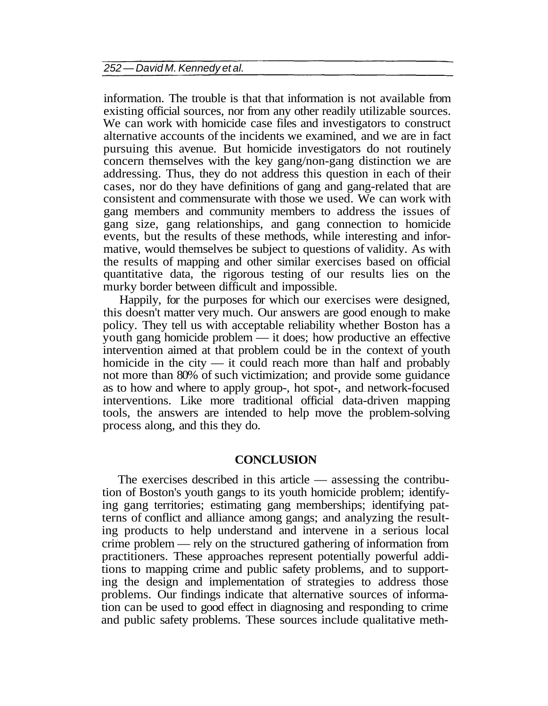information. The trouble is that that information is not available from existing official sources, nor from any other readily utilizable sources. We can work with homicide case files and investigators to construct alternative accounts of the incidents we examined, and we are in fact pursuing this avenue. But homicide investigators do not routinely concern themselves with the key gang/non-gang distinction we are addressing. Thus, they do not address this question in each of their cases, nor do they have definitions of gang and gang-related that are consistent and commensurate with those we used. We can work with gang members and community members to address the issues of gang size, gang relationships, and gang connection to homicide events, but the results of these methods, while interesting and informative, would themselves be subject to questions of validity. As with the results of mapping and other similar exercises based on official quantitative data, the rigorous testing of our results lies on the murky border between difficult and impossible.

Happily, for the purposes for which our exercises were designed, this doesn't matter very much. Our answers are good enough to make policy. They tell us with acceptable reliability whether Boston has a youth gang homicide problem — it does; how productive an effective intervention aimed at that problem could be in the context of youth homicide in the city  $\frac{d}{dx}$  it could reach more than half and probably not more than 80% of such victimization; and provide some guidance as to how and where to apply group-, hot spot-, and network-focused interventions. Like more traditional official data-driven mapping tools, the answers are intended to help move the problem-solving process along, and this they do.

#### **CONCLUSION**

The exercises described in this article — assessing the contribution of Boston's youth gangs to its youth homicide problem; identifying gang territories; estimating gang memberships; identifying patterns of conflict and alliance among gangs; and analyzing the resulting products to help understand and intervene in a serious local crime problem — rely on the structured gathering of information from practitioners. These approaches represent potentially powerful additions to mapping crime and public safety problems, and to supporting the design and implementation of strategies to address those problems. Our findings indicate that alternative sources of information can be used to good effect in diagnosing and responding to crime and public safety problems. These sources include qualitative meth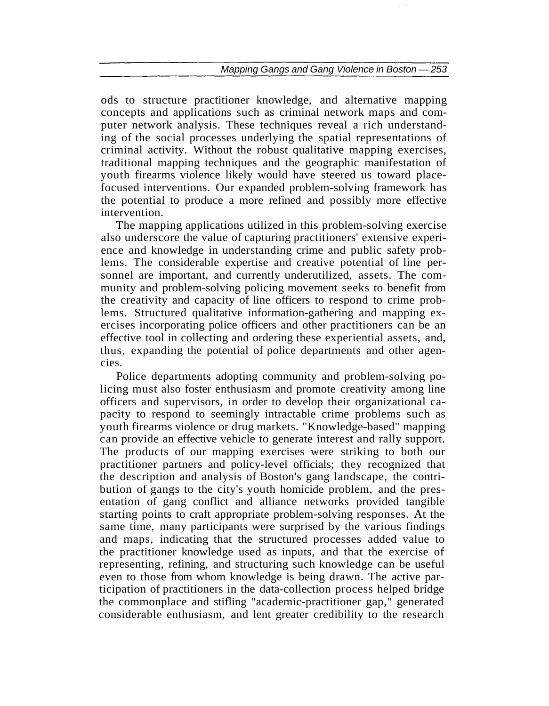ods to structure practitioner knowledge, and alternative mapping concepts and applications such as criminal network maps and computer network analysis. These techniques reveal a rich understanding of the social processes underlying the spatial representations of criminal activity. Without the robust qualitative mapping exercises, traditional mapping techniques and the geographic manifestation of youth firearms violence likely would have steered us toward placefocused interventions. Our expanded problem-solving framework has the potential to produce a more refined and possibly more effective intervention.

The mapping applications utilized in this problem-solving exercise also underscore the value of capturing practitioners' extensive experience and knowledge in understanding crime and public safety problems. The considerable expertise and creative potential of line personnel are important, and currently underutilized, assets. The community and problem-solving policing movement seeks to benefit from the creativity and capacity of line officers to respond to crime problems. Structured qualitative information-gathering and mapping exercises incorporating police officers and other practitioners can be an effective tool in collecting and ordering these experiential assets, and, thus, expanding the potential of police departments and other agencies.

Police departments adopting community and problem-solving policing must also foster enthusiasm and promote creativity among line officers and supervisors, in order to develop their organizational capacity to respond to seemingly intractable crime problems such as youth firearms violence or drug markets. "Knowledge-based" mapping can provide an effective vehicle to generate interest and rally support. The products of our mapping exercises were striking to both our practitioner partners and policy-level officials; they recognized that the description and analysis of Boston's gang landscape, the contribution of gangs to the city's youth homicide problem, and the presentation of gang conflict and alliance networks provided tangible starting points to craft appropriate problem-solving responses. At the same time, many participants were surprised by the various findings and maps, indicating that the structured processes added value to the practitioner knowledge used as inputs, and that the exercise of representing, refining, and structuring such knowledge can be useful even to those from whom knowledge is being drawn. The active participation of practitioners in the data-collection process helped bridge the commonplace and stifling "academic-practitioner gap," generated considerable enthusiasm, and lent greater credibility to the research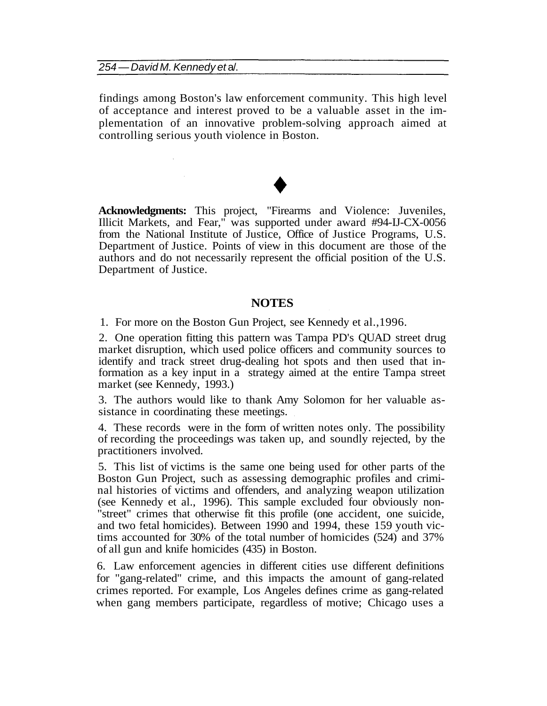254 — David M. Kennedy et a/.

findings among Boston's law enforcement community. This high level of acceptance and interest proved to be a valuable asset in the implementation of an innovative problem-solving approach aimed at controlling serious youth violence in Boston.

**Acknowledgments:** This project, "Firearms and Violence: Juveniles, Illicit Markets, and Fear," was supported under award #94-IJ-CX-0056 from the National Institute of Justice, Office of Justice Programs, U.S. Department of Justice. Points of view in this document are those of the authors and do not necessarily represent the official position of the U.S. Department of Justice.

#### **NOTES**

1. For more on the Boston Gun Project, see Kennedy et al.,1996.

2. One operation fitting this pattern was Tampa PD's QUAD street drug market disruption, which used police officers and community sources to identify and track street drug-dealing hot spots and then used that information as a key input in a strategy aimed at the entire Tampa street market (see Kennedy, 1993.)

3. The authors would like to thank Amy Solomon for her valuable assistance in coordinating these meetings.

4. These records were in the form of written notes only. The possibility of recording the proceedings was taken up, and soundly rejected, by the practitioners involved.

5. This list of victims is the same one being used for other parts of the Boston Gun Project, such as assessing demographic profiles and criminal histories of victims and offenders, and analyzing weapon utilization (see Kennedy et al., 1996). This sample excluded four obviously non- "street" crimes that otherwise fit this profile (one accident, one suicide, and two fetal homicides). Between 1990 and 1994, these 159 youth victims accounted for 30% of the total number of homicides (524) and 37% of all gun and knife homicides (435) in Boston.

6. Law enforcement agencies in different cities use different definitions for "gang-related" crime, and this impacts the amount of gang-related crimes reported. For example, Los Angeles defines crime as gang-related when gang members participate, regardless of motive; Chicago uses a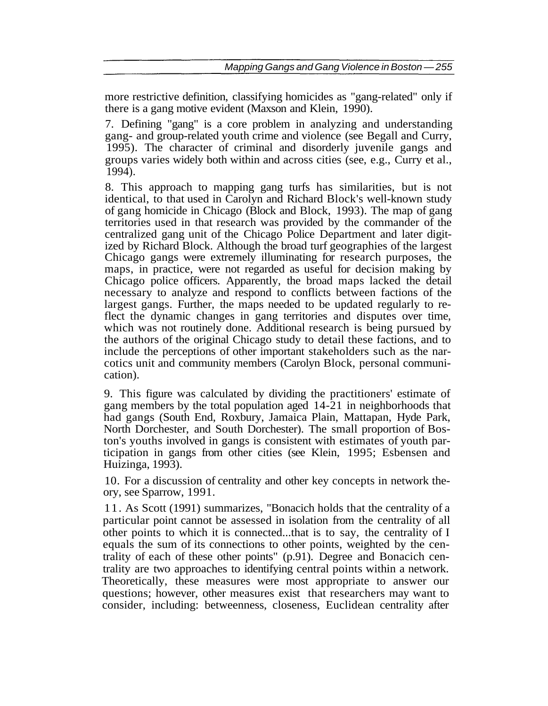more restrictive definition, classifying homicides as "gang-related" only if there is a gang motive evident (Maxson and Klein, 1990).

7. Defining "gang" is a core problem in analyzing and understanding gang- and group-related youth crime and violence (see Begall and Curry, 1995). The character of criminal and disorderly juvenile gangs and groups varies widely both within and across cities (see, e.g., Curry et al.,  $1994$ .

8. This approach to mapping gang turfs has similarities, but is not identical, to that used in Carolyn and Richard Block's well-known study of gang homicide in Chicago (Block and Block, 1993). The map of gang territories used in that research was provided by the commander of the centralized gang unit of the Chicago Police Department and later digitized by Richard Block. Although the broad turf geographies of the largest Chicago gangs were extremely illuminating for research purposes, the maps, in practice, were not regarded as useful for decision making by Chicago police officers. Apparently, the broad maps lacked the detail necessary to analyze and respond to conflicts between factions of the largest gangs. Further, the maps needed to be updated regularly to reflect the dynamic changes in gang territories and disputes over time, which was not routinely done. Additional research is being pursued by the authors of the original Chicago study to detail these factions, and to include the perceptions of other important stakeholders such as the narcotics unit and community members (Carolyn Block, personal communication).

9. This figure was calculated by dividing the practitioners' estimate of gang members by the total population aged 14-21 in neighborhoods that had gangs (South End, Roxbury, Jamaica Plain, Mattapan, Hyde Park, North Dorchester, and South Dorchester). The small proportion of Boston's youths involved in gangs is consistent with estimates of youth participation in gangs from other cities (see Klein, 1995; Esbensen and Huizinga, 1993).

10. For a discussion of centrality and other key concepts in network theory, see Sparrow, 1991.

11. As Scott (1991) summarizes, "Bonacich holds that the centrality of a particular point cannot be assessed in isolation from the centrality of all other points to which it is connected...that is to say, the centrality of I equals the sum of its connections to other points, weighted by the centrality of each of these other points" (p.91). Degree and Bonacich centrality are two approaches to identifying central points within a network. Theoretically, these measures were most appropriate to answer our questions; however, other measures exist that researchers may want to consider, including: betweenness, closeness, Euclidean centrality after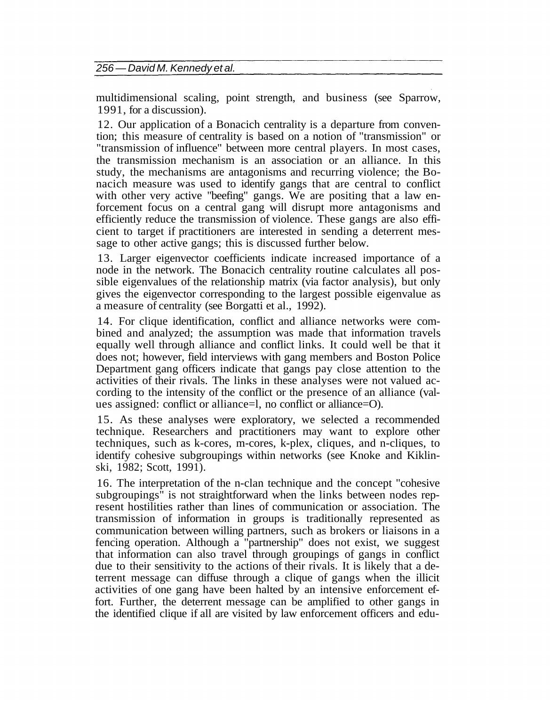256 — David M. Kennedy et al.

multidimensional scaling, point strength, and business (see Sparrow, 1991, for a discussion).

12. Our application of a Bonacich centrality is a departure from convention; this measure of centrality is based on a notion of "transmission" or "transmission of influence" between more central players. In most cases, the transmission mechanism is an association or an alliance. In this study, the mechanisms are antagonisms and recurring violence; the Bonacich measure was used to identify gangs that are central to conflict with other very active "beefing" gangs. We are positing that a law enforcement focus on a central gang will disrupt more antagonisms and efficiently reduce the transmission of violence. These gangs are also efficient to target if practitioners are interested in sending a deterrent message to other active gangs; this is discussed further below.

13. Larger eigenvector coefficients indicate increased importance of a node in the network. The Bonacich centrality routine calculates all possible eigenvalues of the relationship matrix (via factor analysis), but only gives the eigenvector corresponding to the largest possible eigenvalue as a measure of centrality (see Borgatti et al., 1992).

14. For clique identification, conflict and alliance networks were combined and analyzed; the assumption was made that information travels equally well through alliance and conflict links. It could well be that it does not; however, field interviews with gang members and Boston Police Department gang officers indicate that gangs pay close attention to the activities of their rivals. The links in these analyses were not valued according to the intensity of the conflict or the presence of an alliance (values assigned: conflict or alliance=l, no conflict or alliance=O).

15. As these analyses were exploratory, we selected a recommended technique. Researchers and practitioners may want to explore other techniques, such as k-cores, m-cores, k-plex, cliques, and n-cliques, to identify cohesive subgroupings within networks (see Knoke and Kiklinski, 1982; Scott, 1991).

16. The interpretation of the n-clan technique and the concept "cohesive subgroupings" is not straightforward when the links between nodes represent hostilities rather than lines of communication or association. The transmission of information in groups is traditionally represented as communication between willing partners, such as brokers or liaisons in a fencing operation. Although a "partnership" does not exist, we suggest that information can also travel through groupings of gangs in conflict due to their sensitivity to the actions of their rivals. It is likely that a deterrent message can diffuse through a clique of gangs when the illicit activities of one gang have been halted by an intensive enforcement effort. Further, the deterrent message can be amplified to other gangs in the identified clique if all are visited by law enforcement officers and edu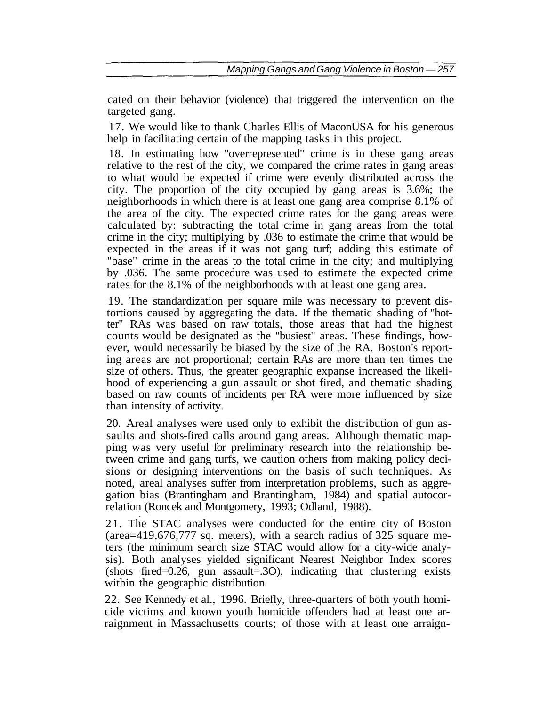cated on their behavior (violence) that triggered the intervention on the targeted gang.

17. We would like to thank Charles Ellis of MaconUSA for his generous help in facilitating certain of the mapping tasks in this project.

18. In estimating how "overrepresented" crime is in these gang areas relative to the rest of the city, we compared the crime rates in gang areas to what would be expected if crime were evenly distributed across the city. The proportion of the city occupied by gang areas is 3.6%; the neighborhoods in which there is at least one gang area comprise 8.1% of the area of the city. The expected crime rates for the gang areas were calculated by: subtracting the total crime in gang areas from the total crime in the city; multiplying by .036 to estimate the crime that would be expected in the areas if it was not gang turf; adding this estimate of "base" crime in the areas to the total crime in the city; and multiplying by .036. The same procedure was used to estimate the expected crime rates for the 8.1% of the neighborhoods with at least one gang area.

19. The standardization per square mile was necessary to prevent distortions caused by aggregating the data. If the thematic shading of "hotter" RAs was based on raw totals, those areas that had the highest counts would be designated as the "busiest" areas. These findings, however, would necessarily be biased by the size of the RA. Boston's reporting areas are not proportional; certain RAs are more than ten times the size of others. Thus, the greater geographic expanse increased the likelihood of experiencing a gun assault or shot fired, and thematic shading based on raw counts of incidents per RA were more influenced by size than intensity of activity.

20. Areal analyses were used only to exhibit the distribution of gun assaults and shots-fired calls around gang areas. Although thematic mapping was very useful for preliminary research into the relationship between crime and gang turfs, we caution others from making policy decisions or designing interventions on the basis of such techniques. As noted, areal analyses suffer from interpretation problems, such as aggregation bias (Brantingham and Brantingham, 1984) and spatial autocorrelation (Roncek and Montgomery, 1993; Odland, 1988).

21. The STAC analyses were conducted for the entire city of Boston (area=419,676,777 sq. meters), with a search radius of 325 square meters (the minimum search size STAC would allow for a city-wide analysis). Both analyses yielded significant Nearest Neighbor Index scores (shots fired=0.26, gun assault=.3O), indicating that clustering exists within the geographic distribution.

22. See Kennedy et al., 1996. Briefly, three-quarters of both youth homicide victims and known youth homicide offenders had at least one arraignment in Massachusetts courts; of those with at least one arraign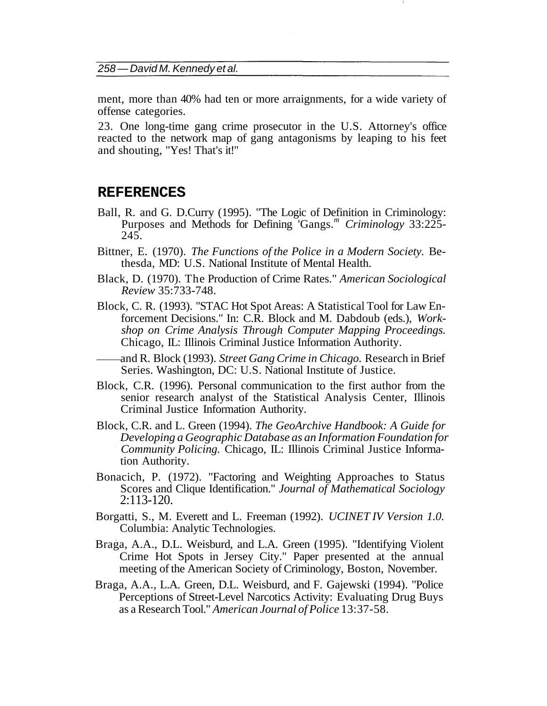258 — David M. Kennedy et al.

ment, more than 40% had ten or more arraignments, for a wide variety of offense categories.

23. One long-time gang crime prosecutor in the U.S. Attorney's office reacted to the network map of gang antagonisms by leaping to his feet and shouting, "Yes! That's it!"

#### **REFERENCES**

- Ball, R. and G. D.Curry (1995). "The Logic of Definition in Criminology: Purposes and Methods for Defining 'Gangs.*<sup>m</sup> Criminology* 33:225- 245.
- Bittner, E. (1970). *The Functions of the Police in a Modern Society.* Bethesda, MD: U.S. National Institute of Mental Health.
- Black, D. (1970). The Production of Crime Rates." *American Sociological Review* 35:733-748.
- Block, C. R. (1993). "STAC Hot Spot Areas: A Statistical Tool for Law Enforcement Decisions." In: C.R. Block and M. Dabdoub (eds.), *Workshop on Crime Analysis Through Computer Mapping Proceedings.* Chicago, IL: Illinois Criminal Justice Information Authority.
- and R. Block (1993). *Street Gang Crime in Chicago.* Research in Brief Series. Washington, DC: U.S. National Institute of Justice.
- Block, C.R. (1996). Personal communication to the first author from the senior research analyst of the Statistical Analysis Center, Illinois Criminal Justice Information Authority.
- Block, C.R. and L. Green (1994). *The GeoArchive Handbook: A Guide for Developing a Geographic Database as an Information Foundation for Community Policing.* Chicago, IL: Illinois Criminal Justice Information Authority.
- Bonacich, P. (1972). "Factoring and Weighting Approaches to Status Scores and Clique Identification." *Journal of Mathematical Sociology* 2:113-120.
- Borgatti, S., M. Everett and L. Freeman (1992). *UCINET IV Version 1.0.* Columbia: Analytic Technologies.
- Braga, A.A., D.L. Weisburd, and L.A. Green (1995). "Identifying Violent Crime Hot Spots in Jersey City." Paper presented at the annual meeting of the American Society of Criminology, Boston, November.
- Braga, A.A., L.A. Green, D.L. Weisburd, and F. Gajewski (1994). "Police Perceptions of Street-Level Narcotics Activity: Evaluating Drug Buys as a Research Tool." *American Journal of Police* 13:37-58.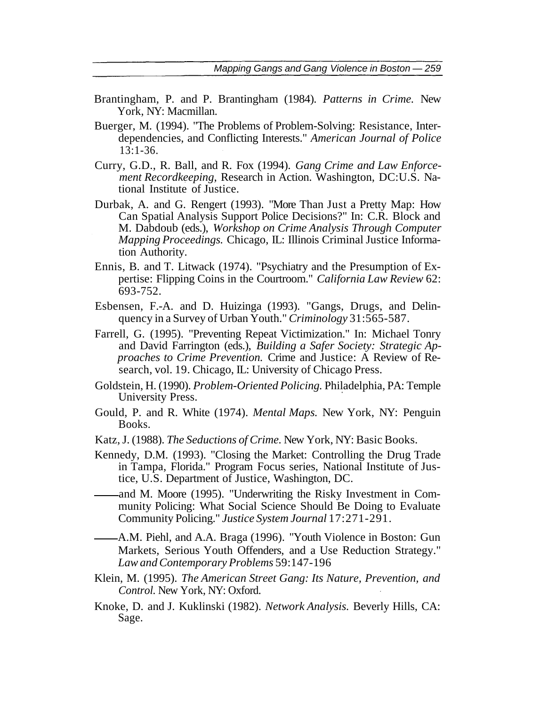- Brantingham, P. and P. Brantingham (1984). *Patterns in Crime.* New York, NY: Macmillan.
- Buerger, M. (1994). "The Problems of Problem-Solving: Resistance, Interdependencies, and Conflicting Interests." *American Journal of Police* 13:1-36.
- Curry, G.D., R. Ball, and R. Fox (1994). *Gang Crime and Law Enforcement Recordkeeping,* Research in Action. Washington, DC:U.S. National Institute of Justice.
- Durbak, A. and G. Rengert (1993). "More Than Just a Pretty Map: How Can Spatial Analysis Support Police Decisions?" In: C.R. Block and M. Dabdoub (eds.), *Workshop on Crime Analysis Through Computer Mapping Proceedings.* Chicago, IL: Illinois Criminal Justice Information Authority.
- Ennis, B. and T. Litwack (1974). "Psychiatry and the Presumption of Expertise: Flipping Coins in the Courtroom." *California Law Review* 62: 693-752.
- Esbensen, F.-A. and D. Huizinga (1993). "Gangs, Drugs, and Delinquency in a Survey of Urban Youth." *Criminology* 31:565-587.
- Farrell, G. (1995). "Preventing Repeat Victimization." In: Michael Tonry and David Farrington (eds.), *Building a Safer Society: Strategic Approaches to Crime Prevention.* Crime and Justice: A Review of Research, vol. 19. Chicago, IL: University of Chicago Press.
- Goldstein, H. (1990). *Problem-Oriented Policing.* Philadelphia, PA: Temple University Press.
- Gould, P. and R. White (1974). *Mental Maps.* New York, NY: Penguin Books.
- Katz, J. (1988). *The Seductions of Crime.* New York, NY: Basic Books.
- Kennedy, D.M. (1993). "Closing the Market: Controlling the Drug Trade in Tampa, Florida." Program Focus series, National Institute of Justice, U.S. Department of Justice, Washington, DC.
- and M. Moore (1995). "Underwriting the Risky Investment in Community Policing: What Social Science Should Be Doing to Evaluate Community Policing." *Justice System Journal* 17:271-291.
- A.M. Piehl, and A.A. Braga (1996). "Youth Violence in Boston: Gun Markets, Serious Youth Offenders, and a Use Reduction Strategy." *Law and Contemporary Problems* 59:147-196
- Klein, M. (1995). *The American Street Gang: Its Nature, Prevention, and Control.* New York, NY: Oxford.
- Knoke, D. and J. Kuklinski (1982). *Network Analysis.* Beverly Hills, CA: Sage.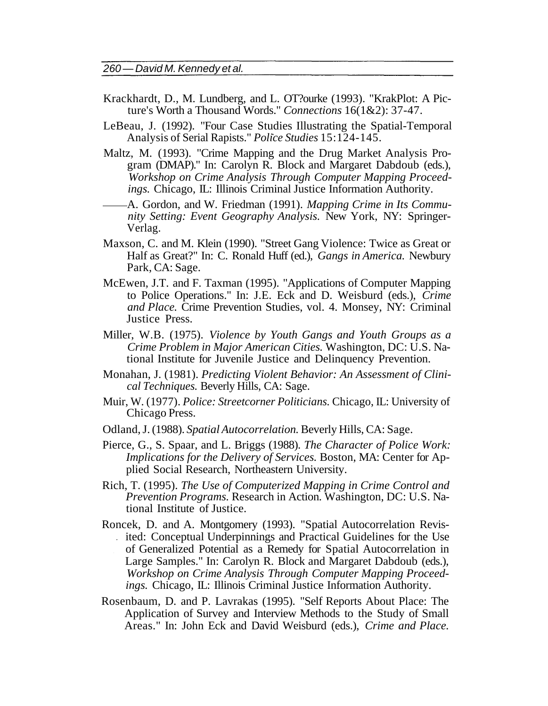- Krackhardt, D., M. Lundberg, and L. OT?ourke (1993). "KrakPlot: A Picture's Worth a Thousand Words." *Connections* 16(1&2): 37-47.
- LeBeau, J. (1992). "Four Case Studies Illustrating the Spatial-Temporal Analysis of Serial Rapists." *Police Studies* 15:124-145.
- Maltz, M. (1993). "Crime Mapping and the Drug Market Analysis Program (DMAP)." In: Carolyn R. Block and Margaret Dabdoub (eds.), *Workshop on Crime Analysis Through Computer Mapping Proceedings.* Chicago, IL: Illinois Criminal Justice Information Authority.
- A. Gordon, and W. Friedman (1991). *Mapping Crime in Its Community Setting: Event Geography Analysis.* New York, NY: Springer-Verlag.
- Maxson, C. and M. Klein (1990). "Street Gang Violence: Twice as Great or Half as Great?" In: C. Ronald Huff (ed.), *Gangs in America.* Newbury Park, CA: Sage.
- McEwen, J.T. and F. Taxman (1995). "Applications of Computer Mapping to Police Operations." In: J.E. Eck and D. Weisburd (eds.), *Crime and Place.* Crime Prevention Studies, vol. 4. Monsey, NY: Criminal Justice Press.
- Miller, W.B. (1975). *Violence by Youth Gangs and Youth Groups as a Crime Problem in Major American Cities.* Washington, DC: U.S. National Institute for Juvenile Justice and Delinquency Prevention.
- Monahan, J. (1981). *Predicting Violent Behavior: An Assessment of Clinical Techniques.* Beverly Hills, CA: Sage.
- Muir, W. (1977). *Police: Streetcorner Politicians.* Chicago, IL: University of Chicago Press.
- Odland, J. (1988). *Spatial Autocorrelation.* Beverly Hills, CA: Sage.
- Pierce, G., S. Spaar, and L. Briggs (1988). *The Character of Police Work: Implications for the Delivery of Services.* Boston, MA: Center for Applied Social Research, Northeastern University.
- Rich, T. (1995). *The Use of Computerized Mapping in Crime Control and Prevention Programs.* Research in Action. Washington, DC: U.S. National Institute of Justice.
- Roncek, D. and A. Montgomery (1993). "Spatial Autocorrelation Revisited: Conceptual Underpinnings and Practical Guidelines for the Use of Generalized Potential as a Remedy for Spatial Autocorrelation in Large Samples." In: Carolyn R. Block and Margaret Dabdoub (eds.), *Workshop on Crime Analysis Through Computer Mapping Proceedings.* Chicago, IL: Illinois Criminal Justice Information Authority.
- Rosenbaum, D. and P. Lavrakas (1995). "Self Reports About Place: The Application of Survey and Interview Methods to the Study of Small Areas." In: John Eck and David Weisburd (eds.), *Crime and Place.*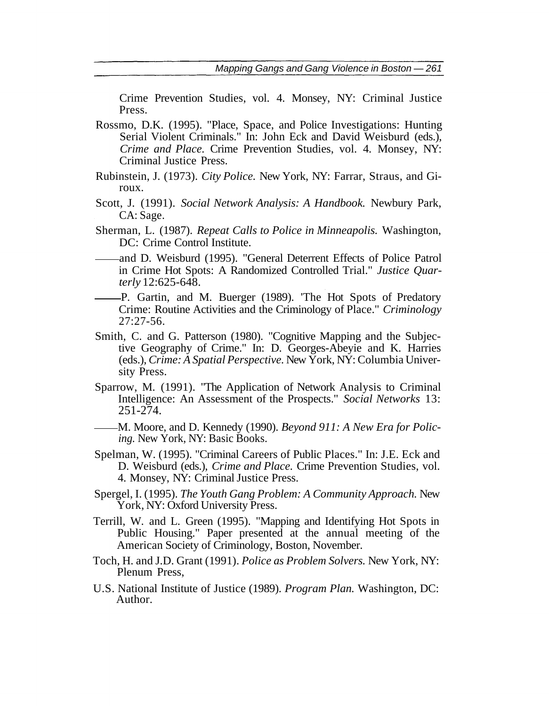Crime Prevention Studies, vol. 4. Monsey, NY: Criminal Justice Press.

- Rossmo, D.K. (1995). "Place, Space, and Police Investigations: Hunting Serial Violent Criminals." In: John Eck and David Weisburd (eds.), *Crime and Place.* Crime Prevention Studies, vol. 4. Monsey, NY: Criminal Justice Press.
- Rubinstein, J. (1973). *City Police.* New York, NY: Farrar, Straus, and Giroux.
- Scott, J. (1991). *Social Network Analysis: A Handbook.* Newbury Park, CA: Sage.
- Sherman, L. (1987). *Repeat Calls to Police in Minneapolis.* Washington, DC: Crime Control Institute.
- and D. Weisburd (1995). "General Deterrent Effects of Police Patrol in Crime Hot Spots: A Randomized Controlled Trial." *Justice Quarterly* 12:625-648.
- P. Gartin, and M. Buerger (1989). 'The Hot Spots of Predatory Crime: Routine Activities and the Criminology of Place." *Criminology* 27:27-56.
- Smith, C. and G. Patterson (1980). "Cognitive Mapping and the Subjective Geography of Crime." In: D. Georges-Abeyie and K. Harries (eds.), *Crime: A Spatial Perspective.* New York, NY: Columbia University Press.
- Sparrow, M. (1991). "The Application of Network Analysis to Criminal Intelligence: An Assessment of the Prospects." *Social Networks* 13:  $251 - 274.$
- M. Moore, and D. Kennedy (1990). *Beyond 911: A New Era for Policing.* New York, NY: Basic Books.
- Spelman, W. (1995). "Criminal Careers of Public Places." In: J.E. Eck and D. Weisburd (eds.), *Crime and Place.* Crime Prevention Studies, vol. 4. Monsey, NY: Criminal Justice Press.
- Spergel, I. (1995). *The Youth Gang Problem: A Community Approach.* New York, NY: Oxford University Press.
- Terrill, W. and L. Green (1995). "Mapping and Identifying Hot Spots in Public Housing." Paper presented at the annual meeting of the American Society of Criminology, Boston, November.
- Toch, H. and J.D. Grant (1991). *Police as Problem Solvers.* New York, NY: Plenum Press,
- U.S. National Institute of Justice (1989). *Program Plan.* Washington, DC: Author.